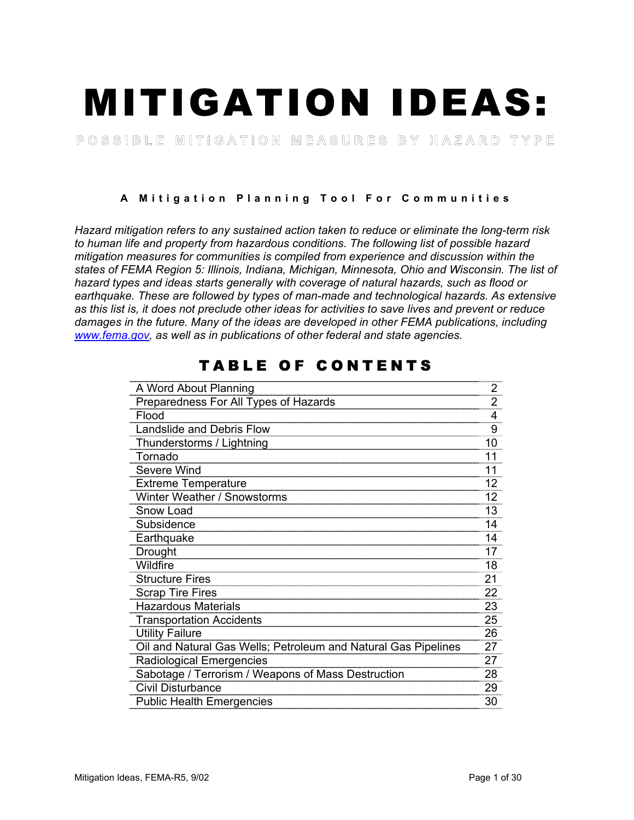# MITIGATION IDEAS:

POSSIBLE MITIGATION MEASURES BY HAZARD TYPE

**A Mitigation Planning Tool For Communities** 

*Hazard mitigation refers to any sustained action taken to reduce or eliminate the long-term risk to human life and property from hazardous conditions. The following list of possible hazard mitigation measures for communities is compiled from experience and discussion within the states of FEMA Region 5: Illinois, Indiana, Michigan, Minnesota, Ohio and Wisconsin. The list of hazard types and ideas starts generally with coverage of natural hazards, such as flood or earthquake. These are followed by types of man-made and technological hazards. As extensive as this list is, it does not preclude other ideas for activities to save lives and prevent or reduce damages in the future. Many of the ideas are developed in other FEMA publications, including www.fema.gov, as well as in publications of other federal and state agencies.*

| A Word About Planning                                          | 2  |
|----------------------------------------------------------------|----|
| Preparedness For All Types of Hazards                          | 2  |
| Flood                                                          | 4  |
| Landslide and Debris Flow                                      | 9  |
| Thunderstorms / Lightning                                      | 10 |
| Tornado                                                        | 11 |
| Severe Wind                                                    | 11 |
| <b>Extreme Temperature</b>                                     | 12 |
| Winter Weather / Snowstorms                                    | 12 |
| Snow Load                                                      | 13 |
| Subsidence                                                     | 14 |
| Earthquake                                                     | 14 |
| Drought                                                        | 17 |
| Wildfire                                                       | 18 |
| <b>Structure Fires</b>                                         | 21 |
| <b>Scrap Tire Fires</b>                                        | 22 |
| <b>Hazardous Materials</b>                                     | 23 |
| <b>Transportation Accidents</b>                                | 25 |
| <b>Utility Failure</b>                                         | 26 |
| Oil and Natural Gas Wells; Petroleum and Natural Gas Pipelines | 27 |
| <b>Radiological Emergencies</b>                                | 27 |
| Sabotage / Terrorism / Weapons of Mass Destruction             | 28 |
| Civil Disturbance                                              | 29 |
| <b>Public Health Emergencies</b>                               | 30 |

# TABLE OF CONTENTS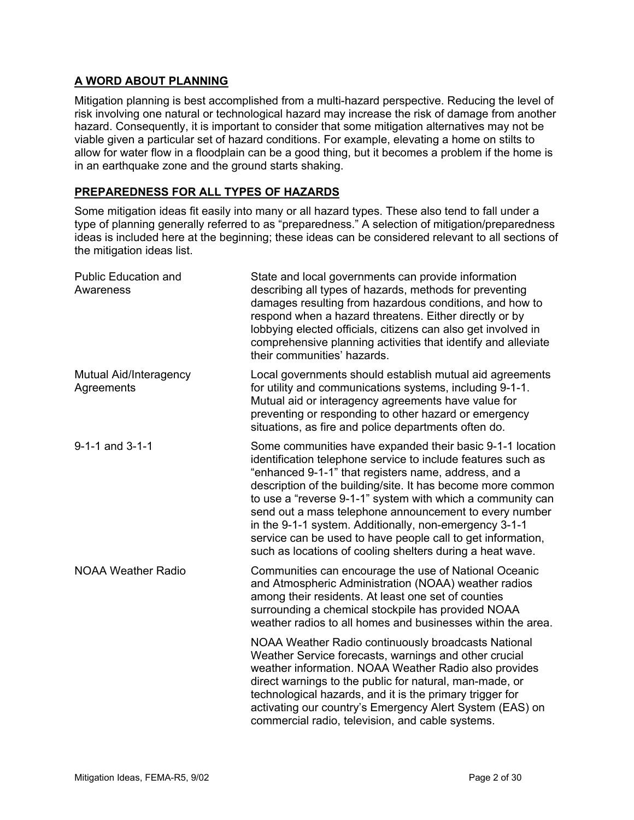# **A WORD ABOUT PLANNING**

Mitigation planning is best accomplished from a multi-hazard perspective. Reducing the level of risk involving one natural or technological hazard may increase the risk of damage from another hazard. Consequently, it is important to consider that some mitigation alternatives may not be viable given a particular set of hazard conditions. For example, elevating a home on stilts to allow for water flow in a floodplain can be a good thing, but it becomes a problem if the home is in an earthquake zone and the ground starts shaking.

# **PREPAREDNESS FOR ALL TYPES OF HAZARDS**

Some mitigation ideas fit easily into many or all hazard types. These also tend to fall under a type of planning generally referred to as "preparedness." A selection of mitigation/preparedness ideas is included here at the beginning; these ideas can be considered relevant to all sections of the mitigation ideas list.

| <b>Public Education and</b><br>Awareness | State and local governments can provide information<br>describing all types of hazards, methods for preventing<br>damages resulting from hazardous conditions, and how to<br>respond when a hazard threatens. Either directly or by<br>lobbying elected officials, citizens can also get involved in<br>comprehensive planning activities that identify and alleviate<br>their communities' hazards.                                                                                                                                                           |
|------------------------------------------|----------------------------------------------------------------------------------------------------------------------------------------------------------------------------------------------------------------------------------------------------------------------------------------------------------------------------------------------------------------------------------------------------------------------------------------------------------------------------------------------------------------------------------------------------------------|
| Mutual Aid/Interagency<br>Agreements     | Local governments should establish mutual aid agreements<br>for utility and communications systems, including 9-1-1.<br>Mutual aid or interagency agreements have value for<br>preventing or responding to other hazard or emergency<br>situations, as fire and police departments often do.                                                                                                                                                                                                                                                                   |
| 9-1-1 and 3-1-1                          | Some communities have expanded their basic 9-1-1 location<br>identification telephone service to include features such as<br>"enhanced 9-1-1" that registers name, address, and a<br>description of the building/site. It has become more common<br>to use a "reverse 9-1-1" system with which a community can<br>send out a mass telephone announcement to every number<br>in the 9-1-1 system. Additionally, non-emergency 3-1-1<br>service can be used to have people call to get information,<br>such as locations of cooling shelters during a heat wave. |
| <b>NOAA Weather Radio</b>                | Communities can encourage the use of National Oceanic<br>and Atmospheric Administration (NOAA) weather radios<br>among their residents. At least one set of counties<br>surrounding a chemical stockpile has provided NOAA<br>weather radios to all homes and businesses within the area.                                                                                                                                                                                                                                                                      |
|                                          | NOAA Weather Radio continuously broadcasts National<br>Weather Service forecasts, warnings and other crucial<br>weather information. NOAA Weather Radio also provides<br>direct warnings to the public for natural, man-made, or<br>technological hazards, and it is the primary trigger for<br>activating our country's Emergency Alert System (EAS) on<br>commercial radio, television, and cable systems.                                                                                                                                                   |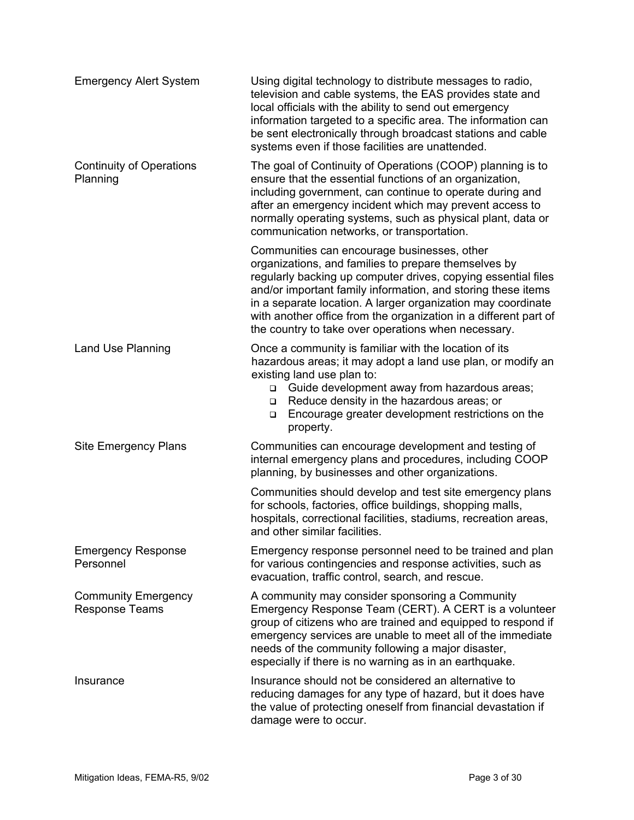| <b>Emergency Alert System</b>                       | Using digital technology to distribute messages to radio,<br>television and cable systems, the EAS provides state and<br>local officials with the ability to send out emergency<br>information targeted to a specific area. The information can<br>be sent electronically through broadcast stations and cable<br>systems even if those facilities are unattended.                                                              |
|-----------------------------------------------------|---------------------------------------------------------------------------------------------------------------------------------------------------------------------------------------------------------------------------------------------------------------------------------------------------------------------------------------------------------------------------------------------------------------------------------|
| <b>Continuity of Operations</b><br>Planning         | The goal of Continuity of Operations (COOP) planning is to<br>ensure that the essential functions of an organization,<br>including government, can continue to operate during and<br>after an emergency incident which may prevent access to<br>normally operating systems, such as physical plant, data or<br>communication networks, or transportation.                                                                       |
|                                                     | Communities can encourage businesses, other<br>organizations, and families to prepare themselves by<br>regularly backing up computer drives, copying essential files<br>and/or important family information, and storing these items<br>in a separate location. A larger organization may coordinate<br>with another office from the organization in a different part of<br>the country to take over operations when necessary. |
| Land Use Planning                                   | Once a community is familiar with the location of its<br>hazardous areas; it may adopt a land use plan, or modify an<br>existing land use plan to:<br>Guide development away from hazardous areas;<br>$\Box$<br>Reduce density in the hazardous areas; or<br>$\Box$<br>Encourage greater development restrictions on the<br>$\Box$<br>property.                                                                                 |
| <b>Site Emergency Plans</b>                         | Communities can encourage development and testing of<br>internal emergency plans and procedures, including COOP<br>planning, by businesses and other organizations.                                                                                                                                                                                                                                                             |
|                                                     | Communities should develop and test site emergency plans<br>for schools, factories, office buildings, shopping malls,<br>hospitals, correctional facilities, stadiums, recreation areas,<br>and other similar facilities.                                                                                                                                                                                                       |
| <b>Emergency Response</b><br>Personnel              | Emergency response personnel need to be trained and plan<br>for various contingencies and response activities, such as<br>evacuation, traffic control, search, and rescue.                                                                                                                                                                                                                                                      |
| <b>Community Emergency</b><br><b>Response Teams</b> | A community may consider sponsoring a Community<br>Emergency Response Team (CERT). A CERT is a volunteer<br>group of citizens who are trained and equipped to respond if<br>emergency services are unable to meet all of the immediate<br>needs of the community following a major disaster,<br>especially if there is no warning as in an earthquake.                                                                          |
| Insurance                                           | Insurance should not be considered an alternative to<br>reducing damages for any type of hazard, but it does have<br>the value of protecting oneself from financial devastation if<br>damage were to occur.                                                                                                                                                                                                                     |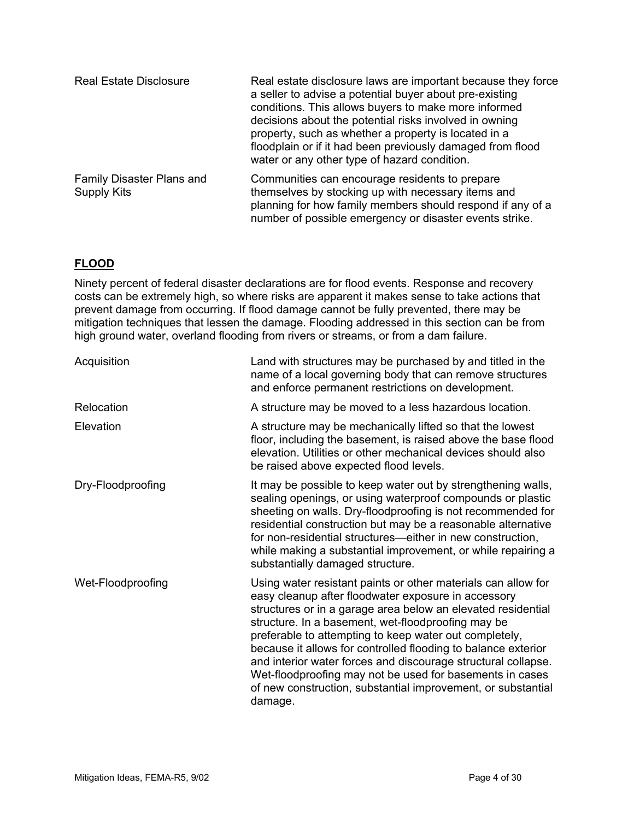| <b>Real Estate Disclosure</b>            | Real estate disclosure laws are important because they force<br>a seller to advise a potential buyer about pre-existing<br>conditions. This allows buyers to make more informed<br>decisions about the potential risks involved in owning<br>property, such as whether a property is located in a<br>floodplain or if it had been previously damaged from flood<br>water or any other type of hazard condition. |
|------------------------------------------|-----------------------------------------------------------------------------------------------------------------------------------------------------------------------------------------------------------------------------------------------------------------------------------------------------------------------------------------------------------------------------------------------------------------|
| Family Disaster Plans and<br>Supply Kits | Communities can encourage residents to prepare<br>themselves by stocking up with necessary items and<br>planning for how family members should respond if any of a<br>number of possible emergency or disaster events strike.                                                                                                                                                                                   |

# **FLOOD**

Ninety percent of federal disaster declarations are for flood events. Response and recovery costs can be extremely high, so where risks are apparent it makes sense to take actions that prevent damage from occurring. If flood damage cannot be fully prevented, there may be mitigation techniques that lessen the damage. Flooding addressed in this section can be from high ground water, overland flooding from rivers or streams, or from a dam failure.

| Acquisition       | Land with structures may be purchased by and titled in the<br>name of a local governing body that can remove structures<br>and enforce permanent restrictions on development.                                                                                                                                                                                                                                                                                                                                                                                                 |
|-------------------|-------------------------------------------------------------------------------------------------------------------------------------------------------------------------------------------------------------------------------------------------------------------------------------------------------------------------------------------------------------------------------------------------------------------------------------------------------------------------------------------------------------------------------------------------------------------------------|
| Relocation        | A structure may be moved to a less hazardous location.                                                                                                                                                                                                                                                                                                                                                                                                                                                                                                                        |
| Elevation         | A structure may be mechanically lifted so that the lowest<br>floor, including the basement, is raised above the base flood<br>elevation. Utilities or other mechanical devices should also<br>be raised above expected flood levels.                                                                                                                                                                                                                                                                                                                                          |
| Dry-Floodproofing | It may be possible to keep water out by strengthening walls,<br>sealing openings, or using waterproof compounds or plastic<br>sheeting on walls. Dry-floodproofing is not recommended for<br>residential construction but may be a reasonable alternative<br>for non-residential structures—either in new construction,<br>while making a substantial improvement, or while repairing a<br>substantially damaged structure.                                                                                                                                                   |
| Wet-Floodproofing | Using water resistant paints or other materials can allow for<br>easy cleanup after floodwater exposure in accessory<br>structures or in a garage area below an elevated residential<br>structure. In a basement, wet-floodproofing may be<br>preferable to attempting to keep water out completely,<br>because it allows for controlled flooding to balance exterior<br>and interior water forces and discourage structural collapse.<br>Wet-floodproofing may not be used for basements in cases<br>of new construction, substantial improvement, or substantial<br>damage. |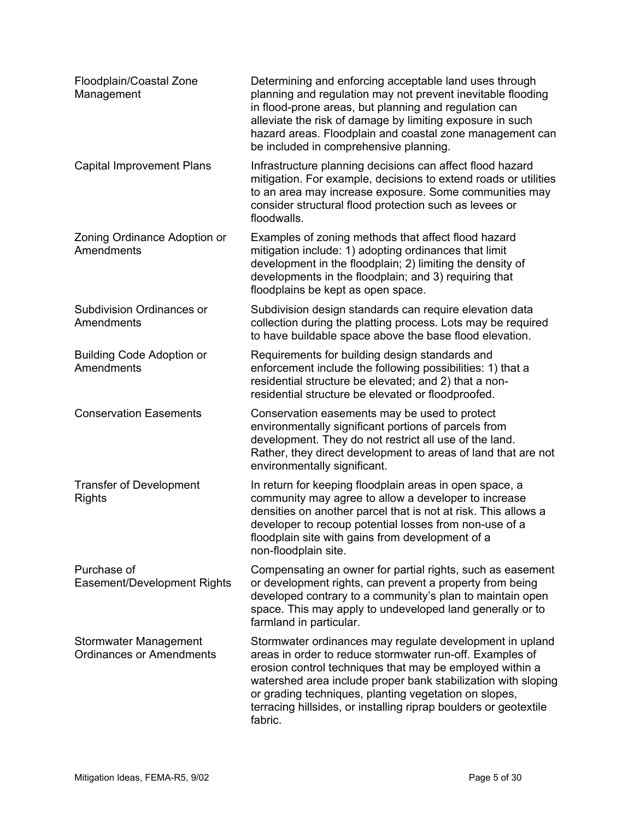| Floodplain/Coastal Zone<br>Management                    | Determining and enforcing acceptable land uses through<br>planning and regulation may not prevent inevitable flooding<br>in flood-prone areas, but planning and regulation can<br>alleviate the risk of damage by limiting exposure in such<br>hazard areas. Floodplain and coastal zone management can<br>be included in comprehensive planning.                                         |
|----------------------------------------------------------|-------------------------------------------------------------------------------------------------------------------------------------------------------------------------------------------------------------------------------------------------------------------------------------------------------------------------------------------------------------------------------------------|
| <b>Capital Improvement Plans</b>                         | Infrastructure planning decisions can affect flood hazard<br>mitigation. For example, decisions to extend roads or utilities<br>to an area may increase exposure. Some communities may<br>consider structural flood protection such as levees or<br>floodwalls.                                                                                                                           |
| Zoning Ordinance Adoption or<br>Amendments               | Examples of zoning methods that affect flood hazard<br>mitigation include: 1) adopting ordinances that limit<br>development in the floodplain; 2) limiting the density of<br>developments in the floodplain; and 3) requiring that<br>floodplains be kept as open space.                                                                                                                  |
| <b>Subdivision Ordinances or</b><br>Amendments           | Subdivision design standards can require elevation data<br>collection during the platting process. Lots may be required<br>to have buildable space above the base flood elevation.                                                                                                                                                                                                        |
| <b>Building Code Adoption or</b><br>Amendments           | Requirements for building design standards and<br>enforcement include the following possibilities: 1) that a<br>residential structure be elevated; and 2) that a non-<br>residential structure be elevated or floodproofed.                                                                                                                                                               |
| <b>Conservation Easements</b>                            | Conservation easements may be used to protect<br>environmentally significant portions of parcels from<br>development. They do not restrict all use of the land.<br>Rather, they direct development to areas of land that are not<br>environmentally significant.                                                                                                                          |
| <b>Transfer of Development</b><br><b>Rights</b>          | In return for keeping floodplain areas in open space, a<br>community may agree to allow a developer to increase<br>densities on another parcel that is not at risk. This allows a<br>developer to recoup potential losses from non-use of a<br>floodplain site with gains from development of a<br>non-floodplain site.                                                                   |
| Purchase of<br>Easement/Development Rights               | Compensating an owner for partial rights, such as easement<br>or development rights, can prevent a property from being<br>developed contrary to a community's plan to maintain open<br>space. This may apply to undeveloped land generally or to<br>farmland in particular.                                                                                                               |
| Stormwater Management<br><b>Ordinances or Amendments</b> | Stormwater ordinances may regulate development in upland<br>areas in order to reduce stormwater run-off. Examples of<br>erosion control techniques that may be employed within a<br>watershed area include proper bank stabilization with sloping<br>or grading techniques, planting vegetation on slopes,<br>terracing hillsides, or installing riprap boulders or geotextile<br>fabric. |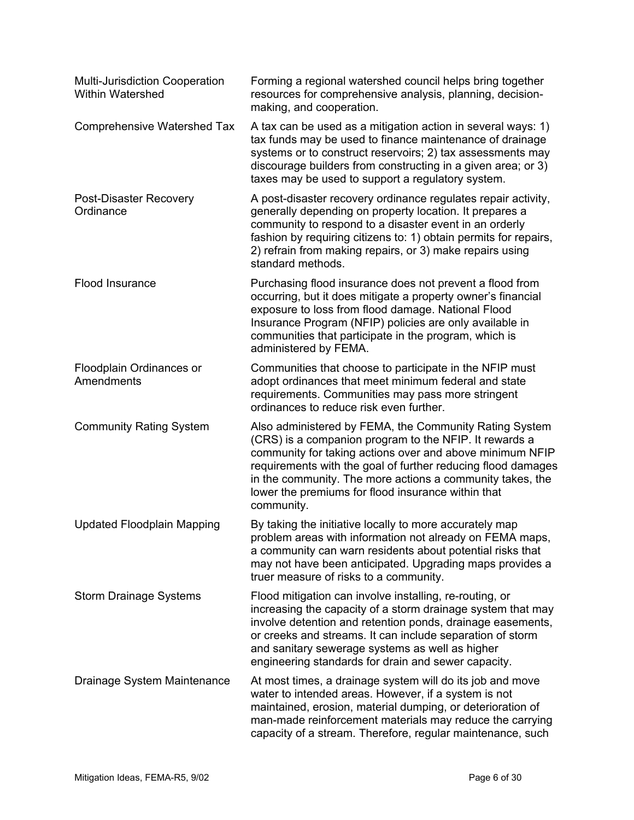| <b>Multi-Jurisdiction Cooperation</b><br>Within Watershed | Forming a regional watershed council helps bring together<br>resources for comprehensive analysis, planning, decision-<br>making, and cooperation.                                                                                                                                                                                                                            |
|-----------------------------------------------------------|-------------------------------------------------------------------------------------------------------------------------------------------------------------------------------------------------------------------------------------------------------------------------------------------------------------------------------------------------------------------------------|
| <b>Comprehensive Watershed Tax</b>                        | A tax can be used as a mitigation action in several ways: 1)<br>tax funds may be used to finance maintenance of drainage<br>systems or to construct reservoirs; 2) tax assessments may<br>discourage builders from constructing in a given area; or 3)<br>taxes may be used to support a regulatory system.                                                                   |
| Post-Disaster Recovery<br>Ordinance                       | A post-disaster recovery ordinance regulates repair activity,<br>generally depending on property location. It prepares a<br>community to respond to a disaster event in an orderly<br>fashion by requiring citizens to: 1) obtain permits for repairs,<br>2) refrain from making repairs, or 3) make repairs using<br>standard methods.                                       |
| Flood Insurance                                           | Purchasing flood insurance does not prevent a flood from<br>occurring, but it does mitigate a property owner's financial<br>exposure to loss from flood damage. National Flood<br>Insurance Program (NFIP) policies are only available in<br>communities that participate in the program, which is<br>administered by FEMA.                                                   |
| Floodplain Ordinances or<br>Amendments                    | Communities that choose to participate in the NFIP must<br>adopt ordinances that meet minimum federal and state<br>requirements. Communities may pass more stringent<br>ordinances to reduce risk even further.                                                                                                                                                               |
| <b>Community Rating System</b>                            | Also administered by FEMA, the Community Rating System<br>(CRS) is a companion program to the NFIP. It rewards a<br>community for taking actions over and above minimum NFIP<br>requirements with the goal of further reducing flood damages<br>in the community. The more actions a community takes, the<br>lower the premiums for flood insurance within that<br>community. |
| <b>Updated Floodplain Mapping</b>                         | By taking the initiative locally to more accurately map<br>problem areas with information not already on FEMA maps,<br>a community can warn residents about potential risks that<br>may not have been anticipated. Upgrading maps provides a<br>truer measure of risks to a community.                                                                                        |
| <b>Storm Drainage Systems</b>                             | Flood mitigation can involve installing, re-routing, or<br>increasing the capacity of a storm drainage system that may<br>involve detention and retention ponds, drainage easements,<br>or creeks and streams. It can include separation of storm<br>and sanitary sewerage systems as well as higher<br>engineering standards for drain and sewer capacity.                   |
| Drainage System Maintenance                               | At most times, a drainage system will do its job and move<br>water to intended areas. However, if a system is not<br>maintained, erosion, material dumping, or deterioration of<br>man-made reinforcement materials may reduce the carrying<br>capacity of a stream. Therefore, regular maintenance, such                                                                     |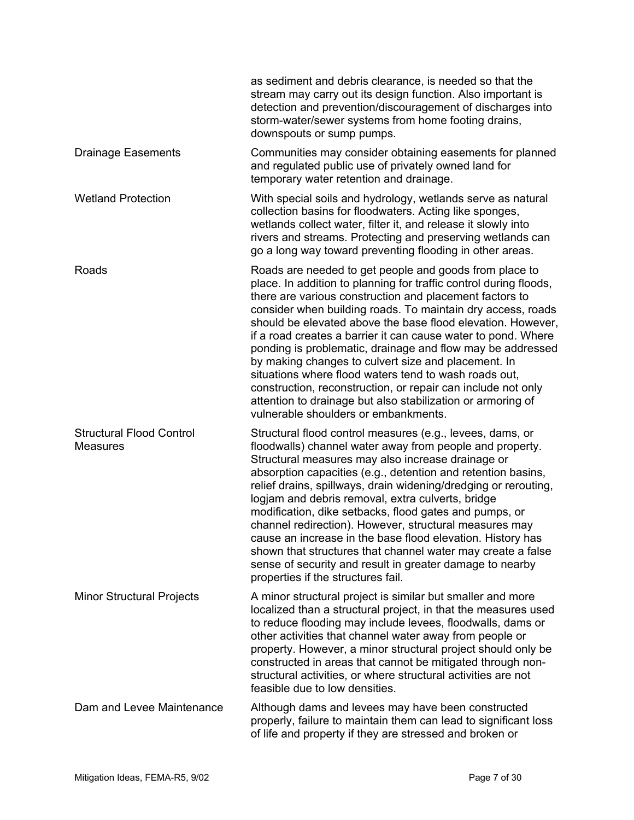|                                                    | as sediment and debris clearance, is needed so that the<br>stream may carry out its design function. Also important is<br>detection and prevention/discouragement of discharges into<br>storm-water/sewer systems from home footing drains,<br>downspouts or sump pumps.                                                                                                                                                                                                                                                                                                                                                                                                                                                                   |
|----------------------------------------------------|--------------------------------------------------------------------------------------------------------------------------------------------------------------------------------------------------------------------------------------------------------------------------------------------------------------------------------------------------------------------------------------------------------------------------------------------------------------------------------------------------------------------------------------------------------------------------------------------------------------------------------------------------------------------------------------------------------------------------------------------|
| <b>Drainage Easements</b>                          | Communities may consider obtaining easements for planned<br>and regulated public use of privately owned land for<br>temporary water retention and drainage.                                                                                                                                                                                                                                                                                                                                                                                                                                                                                                                                                                                |
| <b>Wetland Protection</b>                          | With special soils and hydrology, wetlands serve as natural<br>collection basins for floodwaters. Acting like sponges,<br>wetlands collect water, filter it, and release it slowly into<br>rivers and streams. Protecting and preserving wetlands can<br>go a long way toward preventing flooding in other areas.                                                                                                                                                                                                                                                                                                                                                                                                                          |
| Roads                                              | Roads are needed to get people and goods from place to<br>place. In addition to planning for traffic control during floods,<br>there are various construction and placement factors to<br>consider when building roads. To maintain dry access, roads<br>should be elevated above the base flood elevation. However,<br>if a road creates a barrier it can cause water to pond. Where<br>ponding is problematic, drainage and flow may be addressed<br>by making changes to culvert size and placement. In<br>situations where flood waters tend to wash roads out,<br>construction, reconstruction, or repair can include not only<br>attention to drainage but also stabilization or armoring of<br>vulnerable shoulders or embankments. |
| <b>Structural Flood Control</b><br><b>Measures</b> | Structural flood control measures (e.g., levees, dams, or<br>floodwalls) channel water away from people and property.<br>Structural measures may also increase drainage or<br>absorption capacities (e.g., detention and retention basins,<br>relief drains, spillways, drain widening/dredging or rerouting,<br>logjam and debris removal, extra culverts, bridge<br>modification, dike setbacks, flood gates and pumps, or<br>channel redirection). However, structural measures may<br>cause an increase in the base flood elevation. History has<br>shown that structures that channel water may create a false<br>sense of security and result in greater damage to nearby<br>properties if the structures fail.                      |
| <b>Minor Structural Projects</b>                   | A minor structural project is similar but smaller and more<br>localized than a structural project, in that the measures used<br>to reduce flooding may include levees, floodwalls, dams or<br>other activities that channel water away from people or<br>property. However, a minor structural project should only be<br>constructed in areas that cannot be mitigated through non-<br>structural activities, or where structural activities are not<br>feasible due to low densities.                                                                                                                                                                                                                                                     |
| Dam and Levee Maintenance                          | Although dams and levees may have been constructed<br>properly, failure to maintain them can lead to significant loss<br>of life and property if they are stressed and broken or                                                                                                                                                                                                                                                                                                                                                                                                                                                                                                                                                           |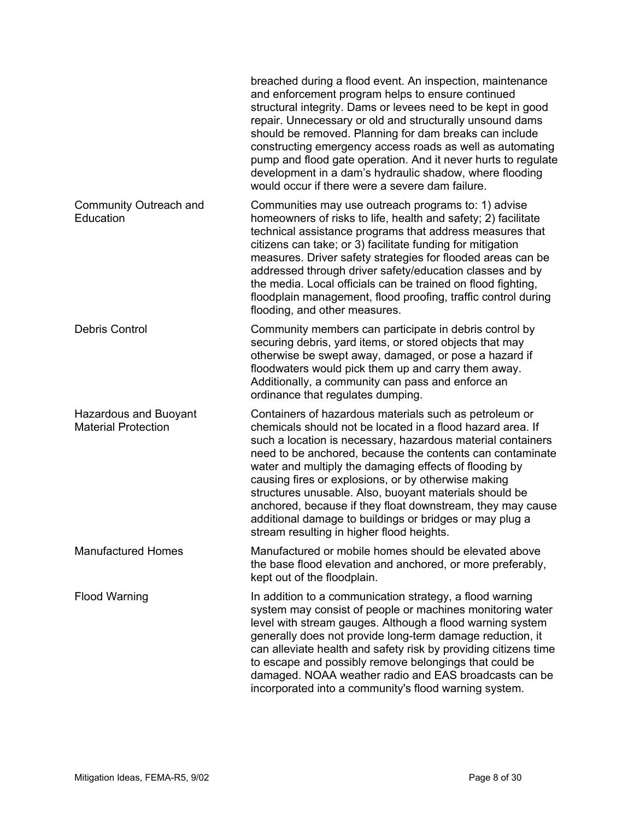|                                                            | breached during a flood event. An inspection, maintenance<br>and enforcement program helps to ensure continued<br>structural integrity. Dams or levees need to be kept in good<br>repair. Unnecessary or old and structurally unsound dams<br>should be removed. Planning for dam breaks can include<br>constructing emergency access roads as well as automating<br>pump and flood gate operation. And it never hurts to regulate<br>development in a dam's hydraulic shadow, where flooding<br>would occur if there were a severe dam failure.                                                  |
|------------------------------------------------------------|---------------------------------------------------------------------------------------------------------------------------------------------------------------------------------------------------------------------------------------------------------------------------------------------------------------------------------------------------------------------------------------------------------------------------------------------------------------------------------------------------------------------------------------------------------------------------------------------------|
| Community Outreach and<br>Education                        | Communities may use outreach programs to: 1) advise<br>homeowners of risks to life, health and safety; 2) facilitate<br>technical assistance programs that address measures that<br>citizens can take; or 3) facilitate funding for mitigation<br>measures. Driver safety strategies for flooded areas can be<br>addressed through driver safety/education classes and by<br>the media. Local officials can be trained on flood fighting,<br>floodplain management, flood proofing, traffic control during<br>flooding, and other measures.                                                       |
| <b>Debris Control</b>                                      | Community members can participate in debris control by<br>securing debris, yard items, or stored objects that may<br>otherwise be swept away, damaged, or pose a hazard if<br>floodwaters would pick them up and carry them away.<br>Additionally, a community can pass and enforce an<br>ordinance that regulates dumping.                                                                                                                                                                                                                                                                       |
| <b>Hazardous and Buoyant</b><br><b>Material Protection</b> | Containers of hazardous materials such as petroleum or<br>chemicals should not be located in a flood hazard area. If<br>such a location is necessary, hazardous material containers<br>need to be anchored, because the contents can contaminate<br>water and multiply the damaging effects of flooding by<br>causing fires or explosions, or by otherwise making<br>structures unusable. Also, buoyant materials should be<br>anchored, because if they float downstream, they may cause<br>additional damage to buildings or bridges or may plug a<br>stream resulting in higher flood heights. |
| <b>Manufactured Homes</b>                                  | Manufactured or mobile homes should be elevated above<br>the base flood elevation and anchored, or more preferably,<br>kept out of the floodplain.                                                                                                                                                                                                                                                                                                                                                                                                                                                |
| <b>Flood Warning</b>                                       | In addition to a communication strategy, a flood warning<br>system may consist of people or machines monitoring water<br>level with stream gauges. Although a flood warning system<br>generally does not provide long-term damage reduction, it<br>can alleviate health and safety risk by providing citizens time<br>to escape and possibly remove belongings that could be<br>damaged. NOAA weather radio and EAS broadcasts can be<br>incorporated into a community's flood warning system.                                                                                                    |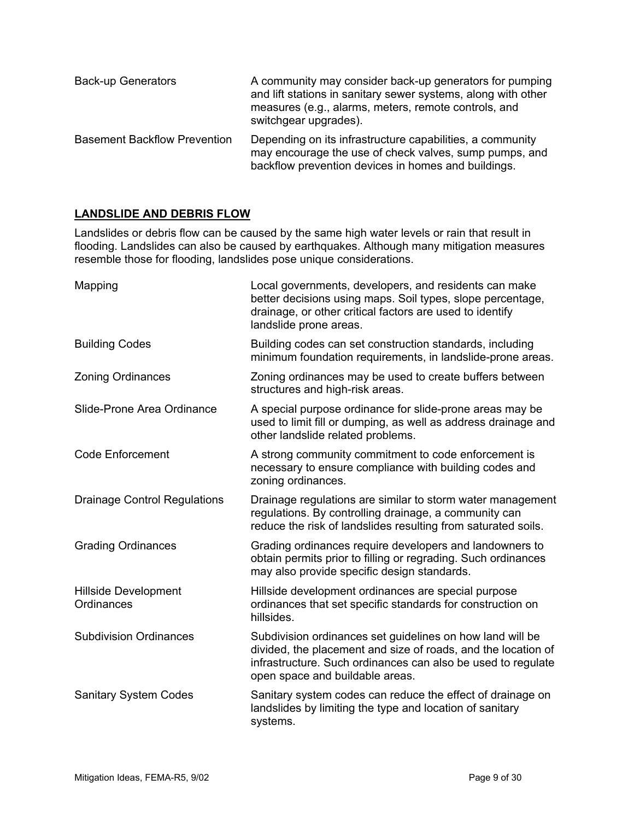| <b>Back-up Generators</b>           | A community may consider back-up generators for pumping<br>and lift stations in sanitary sewer systems, along with other<br>measures (e.g., alarms, meters, remote controls, and<br>switchgear upgrades). |
|-------------------------------------|-----------------------------------------------------------------------------------------------------------------------------------------------------------------------------------------------------------|
| <b>Basement Backflow Prevention</b> | Depending on its infrastructure capabilities, a community<br>may encourage the use of check valves, sump pumps, and<br>backflow prevention devices in homes and buildings.                                |

#### **LANDSLIDE AND DEBRIS FLOW**

Landslides or debris flow can be caused by the same high water levels or rain that result in flooding. Landslides can also be caused by earthquakes. Although many mitigation measures resemble those for flooding, landslides pose unique considerations.

| Mapping                                   | Local governments, developers, and residents can make<br>better decisions using maps. Soil types, slope percentage,<br>drainage, or other critical factors are used to identify<br>landslide prone areas.                     |
|-------------------------------------------|-------------------------------------------------------------------------------------------------------------------------------------------------------------------------------------------------------------------------------|
| <b>Building Codes</b>                     | Building codes can set construction standards, including<br>minimum foundation requirements, in landslide-prone areas.                                                                                                        |
| <b>Zoning Ordinances</b>                  | Zoning ordinances may be used to create buffers between<br>structures and high-risk areas.                                                                                                                                    |
| Slide-Prone Area Ordinance                | A special purpose ordinance for slide-prone areas may be<br>used to limit fill or dumping, as well as address drainage and<br>other landslide related problems.                                                               |
| <b>Code Enforcement</b>                   | A strong community commitment to code enforcement is<br>necessary to ensure compliance with building codes and<br>zoning ordinances.                                                                                          |
| <b>Drainage Control Regulations</b>       | Drainage regulations are similar to storm water management<br>regulations. By controlling drainage, a community can<br>reduce the risk of landslides resulting from saturated soils.                                          |
| <b>Grading Ordinances</b>                 | Grading ordinances require developers and landowners to<br>obtain permits prior to filling or regrading. Such ordinances<br>may also provide specific design standards.                                                       |
| <b>Hillside Development</b><br>Ordinances | Hillside development ordinances are special purpose<br>ordinances that set specific standards for construction on<br>hillsides.                                                                                               |
| <b>Subdivision Ordinances</b>             | Subdivision ordinances set guidelines on how land will be<br>divided, the placement and size of roads, and the location of<br>infrastructure. Such ordinances can also be used to regulate<br>open space and buildable areas. |
| <b>Sanitary System Codes</b>              | Sanitary system codes can reduce the effect of drainage on<br>landslides by limiting the type and location of sanitary<br>systems.                                                                                            |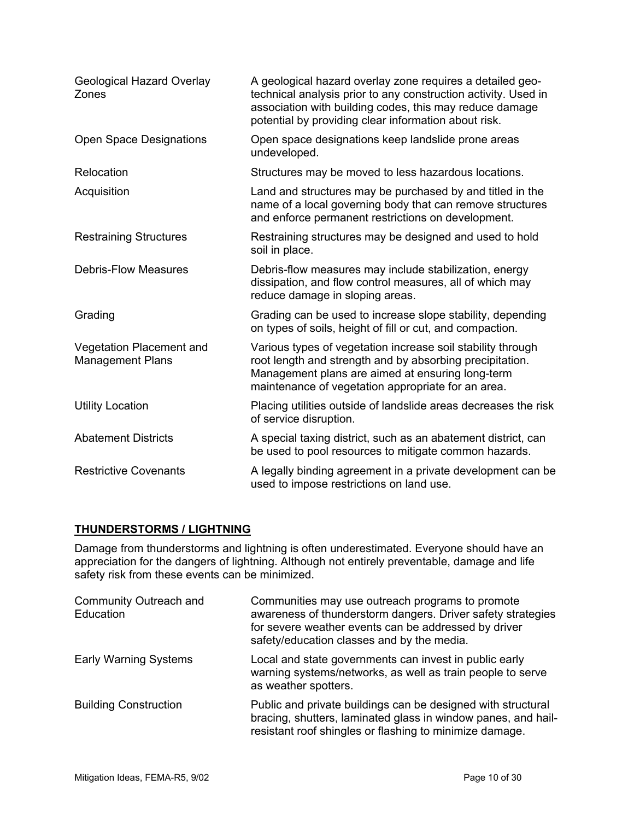| Geological Hazard Overlay<br>Zones                  | A geological hazard overlay zone requires a detailed geo-<br>technical analysis prior to any construction activity. Used in<br>association with building codes, this may reduce damage<br>potential by providing clear information about risk. |
|-----------------------------------------------------|------------------------------------------------------------------------------------------------------------------------------------------------------------------------------------------------------------------------------------------------|
| Open Space Designations                             | Open space designations keep landslide prone areas<br>undeveloped.                                                                                                                                                                             |
| Relocation                                          | Structures may be moved to less hazardous locations.                                                                                                                                                                                           |
| Acquisition                                         | Land and structures may be purchased by and titled in the<br>name of a local governing body that can remove structures<br>and enforce permanent restrictions on development.                                                                   |
| <b>Restraining Structures</b>                       | Restraining structures may be designed and used to hold<br>soil in place.                                                                                                                                                                      |
| <b>Debris-Flow Measures</b>                         | Debris-flow measures may include stabilization, energy<br>dissipation, and flow control measures, all of which may<br>reduce damage in sloping areas.                                                                                          |
| Grading                                             | Grading can be used to increase slope stability, depending<br>on types of soils, height of fill or cut, and compaction.                                                                                                                        |
| Vegetation Placement and<br><b>Management Plans</b> | Various types of vegetation increase soil stability through<br>root length and strength and by absorbing precipitation.<br>Management plans are aimed at ensuring long-term<br>maintenance of vegetation appropriate for an area.              |
| <b>Utility Location</b>                             | Placing utilities outside of landslide areas decreases the risk<br>of service disruption.                                                                                                                                                      |
| <b>Abatement Districts</b>                          | A special taxing district, such as an abatement district, can<br>be used to pool resources to mitigate common hazards.                                                                                                                         |
| <b>Restrictive Covenants</b>                        | A legally binding agreement in a private development can be<br>used to impose restrictions on land use.                                                                                                                                        |

# **THUNDERSTORMS / LIGHTNING**

Damage from thunderstorms and lightning is often underestimated. Everyone should have an appreciation for the dangers of lightning. Although not entirely preventable, damage and life safety risk from these events can be minimized.

| Community Outreach and<br>Education | Communities may use outreach programs to promote<br>awareness of thunderstorm dangers. Driver safety strategies<br>for severe weather events can be addressed by driver<br>safety/education classes and by the media. |
|-------------------------------------|-----------------------------------------------------------------------------------------------------------------------------------------------------------------------------------------------------------------------|
| <b>Early Warning Systems</b>        | Local and state governments can invest in public early<br>warning systems/networks, as well as train people to serve<br>as weather spotters.                                                                          |
| <b>Building Construction</b>        | Public and private buildings can be designed with structural<br>bracing, shutters, laminated glass in window panes, and hail-<br>resistant roof shingles or flashing to minimize damage.                              |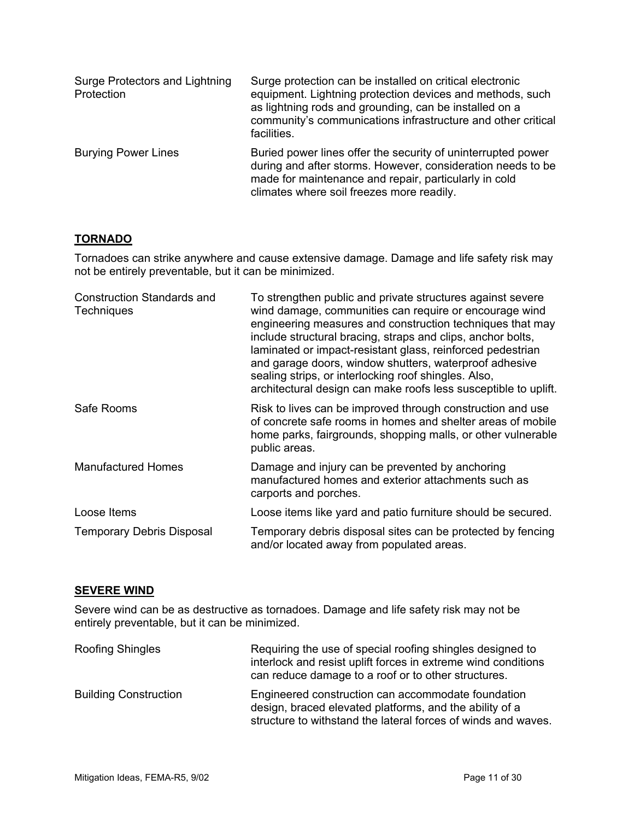| Surge Protectors and Lightning<br>Protection | Surge protection can be installed on critical electronic<br>equipment. Lightning protection devices and methods, such<br>as lightning rods and grounding, can be installed on a<br>community's communications infrastructure and other critical<br>facilities. |
|----------------------------------------------|----------------------------------------------------------------------------------------------------------------------------------------------------------------------------------------------------------------------------------------------------------------|
| <b>Burying Power Lines</b>                   | Buried power lines offer the security of uninterrupted power<br>during and after storms. However, consideration needs to be<br>made for maintenance and repair, particularly in cold<br>climates where soil freezes more readily.                              |

#### **TORNADO**

Tornadoes can strike anywhere and cause extensive damage. Damage and life safety risk may not be entirely preventable, but it can be minimized.

| <b>Construction Standards and</b><br><b>Techniques</b> | To strengthen public and private structures against severe<br>wind damage, communities can require or encourage wind<br>engineering measures and construction techniques that may<br>include structural bracing, straps and clips, anchor bolts,<br>laminated or impact-resistant glass, reinforced pedestrian<br>and garage doors, window shutters, waterproof adhesive<br>sealing strips, or interlocking roof shingles. Also,<br>architectural design can make roofs less susceptible to uplift. |
|--------------------------------------------------------|-----------------------------------------------------------------------------------------------------------------------------------------------------------------------------------------------------------------------------------------------------------------------------------------------------------------------------------------------------------------------------------------------------------------------------------------------------------------------------------------------------|
| Safe Rooms                                             | Risk to lives can be improved through construction and use<br>of concrete safe rooms in homes and shelter areas of mobile<br>home parks, fairgrounds, shopping malls, or other vulnerable<br>public areas.                                                                                                                                                                                                                                                                                          |
| <b>Manufactured Homes</b>                              | Damage and injury can be prevented by anchoring<br>manufactured homes and exterior attachments such as<br>carports and porches.                                                                                                                                                                                                                                                                                                                                                                     |
| Loose Items                                            | Loose items like yard and patio furniture should be secured.                                                                                                                                                                                                                                                                                                                                                                                                                                        |
| <b>Temporary Debris Disposal</b>                       | Temporary debris disposal sites can be protected by fencing<br>and/or located away from populated areas.                                                                                                                                                                                                                                                                                                                                                                                            |

#### **SEVERE WIND**

Severe wind can be as destructive as tornadoes. Damage and life safety risk may not be entirely preventable, but it can be minimized.

| <b>Roofing Shingles</b>      | Requiring the use of special roofing shingles designed to<br>interlock and resist uplift forces in extreme wind conditions<br>can reduce damage to a roof or to other structures. |
|------------------------------|-----------------------------------------------------------------------------------------------------------------------------------------------------------------------------------|
| <b>Building Construction</b> | Engineered construction can accommodate foundation<br>design, braced elevated platforms, and the ability of a<br>structure to withstand the lateral forces of winds and waves.    |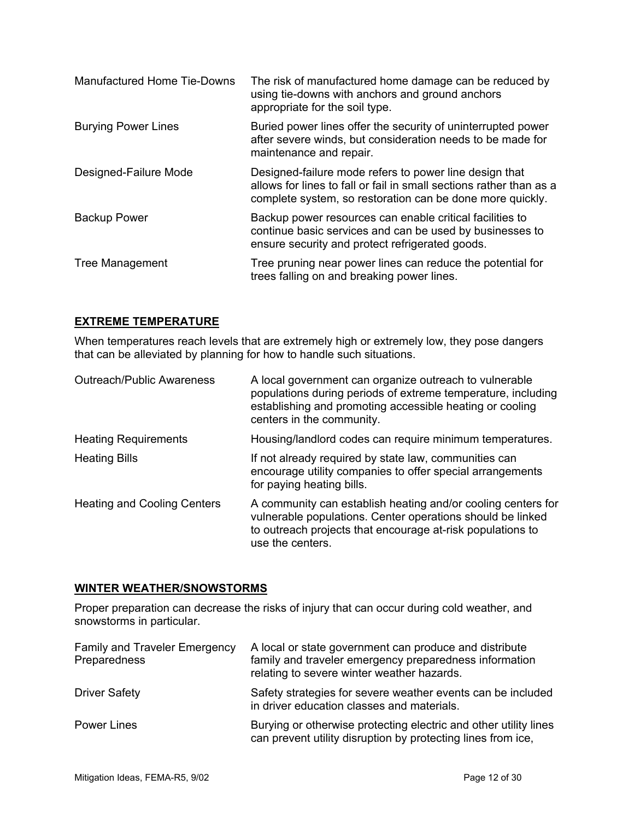| <b>Manufactured Home Tie-Downs</b> | The risk of manufactured home damage can be reduced by<br>using tie-downs with anchors and ground anchors<br>appropriate for the soil type.                                                |
|------------------------------------|--------------------------------------------------------------------------------------------------------------------------------------------------------------------------------------------|
| <b>Burying Power Lines</b>         | Buried power lines offer the security of uninterrupted power<br>after severe winds, but consideration needs to be made for<br>maintenance and repair.                                      |
| Designed-Failure Mode              | Designed-failure mode refers to power line design that<br>allows for lines to fall or fail in small sections rather than as a<br>complete system, so restoration can be done more quickly. |
| <b>Backup Power</b>                | Backup power resources can enable critical facilities to<br>continue basic services and can be used by businesses to<br>ensure security and protect refrigerated goods.                    |
| Tree Management                    | Tree pruning near power lines can reduce the potential for<br>trees falling on and breaking power lines.                                                                                   |

#### **EXTREME TEMPERATURE**

When temperatures reach levels that are extremely high or extremely low, they pose dangers that can be alleviated by planning for how to handle such situations.

| <b>Outreach/Public Awareness</b>   | A local government can organize outreach to vulnerable<br>populations during periods of extreme temperature, including<br>establishing and promoting accessible heating or cooling<br>centers in the community. |
|------------------------------------|-----------------------------------------------------------------------------------------------------------------------------------------------------------------------------------------------------------------|
| <b>Heating Requirements</b>        | Housing/landlord codes can require minimum temperatures.                                                                                                                                                        |
| <b>Heating Bills</b>               | If not already required by state law, communities can<br>encourage utility companies to offer special arrangements<br>for paying heating bills.                                                                 |
| <b>Heating and Cooling Centers</b> | A community can establish heating and/or cooling centers for<br>vulnerable populations. Center operations should be linked<br>to outreach projects that encourage at-risk populations to<br>use the centers.    |

#### **WINTER WEATHER/SNOWSTORMS**

Proper preparation can decrease the risks of injury that can occur during cold weather, and snowstorms in particular.

| <b>Family and Traveler Emergency</b><br>Preparedness | A local or state government can produce and distribute<br>family and traveler emergency preparedness information<br>relating to severe winter weather hazards. |
|------------------------------------------------------|----------------------------------------------------------------------------------------------------------------------------------------------------------------|
| <b>Driver Safety</b>                                 | Safety strategies for severe weather events can be included<br>in driver education classes and materials.                                                      |
| <b>Power Lines</b>                                   | Burying or otherwise protecting electric and other utility lines<br>can prevent utility disruption by protecting lines from ice,                               |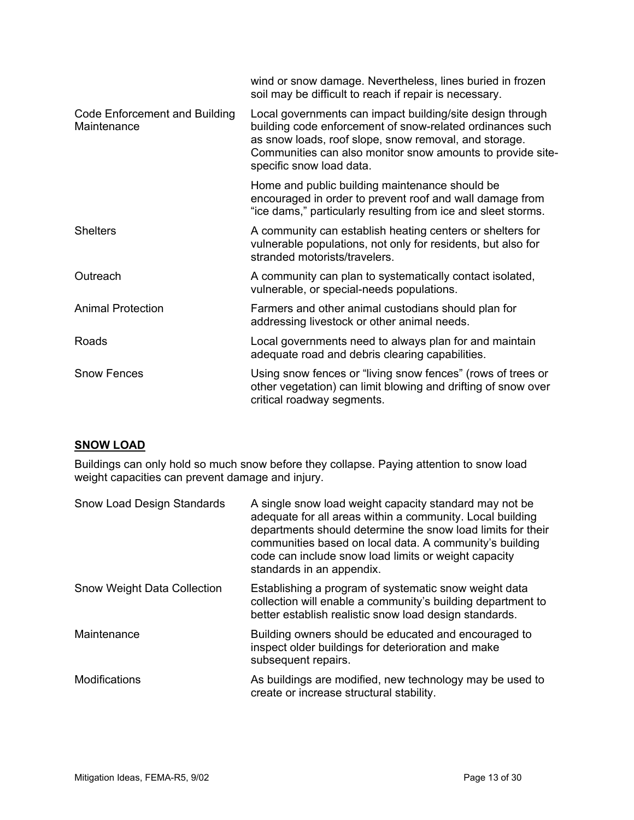| wind or snow damage. Nevertheless, lines buried in frozen<br>soil may be difficult to reach if repair is necessary.                                                                                                                                                       |
|---------------------------------------------------------------------------------------------------------------------------------------------------------------------------------------------------------------------------------------------------------------------------|
| Local governments can impact building/site design through<br>building code enforcement of snow-related ordinances such<br>as snow loads, roof slope, snow removal, and storage.<br>Communities can also monitor snow amounts to provide site-<br>specific snow load data. |
| Home and public building maintenance should be<br>encouraged in order to prevent roof and wall damage from<br>"ice dams," particularly resulting from ice and sleet storms.                                                                                               |
| A community can establish heating centers or shelters for<br>vulnerable populations, not only for residents, but also for<br>stranded motorists/travelers.                                                                                                                |
| A community can plan to systematically contact isolated,<br>vulnerable, or special-needs populations.                                                                                                                                                                     |
| Farmers and other animal custodians should plan for<br>addressing livestock or other animal needs.                                                                                                                                                                        |
| Local governments need to always plan for and maintain<br>adequate road and debris clearing capabilities.                                                                                                                                                                 |
| Using snow fences or "living snow fences" (rows of trees or<br>other vegetation) can limit blowing and drifting of snow over<br>critical roadway segments.                                                                                                                |
|                                                                                                                                                                                                                                                                           |

# **SNOW LOAD**

Buildings can only hold so much snow before they collapse. Paying attention to snow load weight capacities can prevent damage and injury.

| <b>Snow Load Design Standards</b>  | A single snow load weight capacity standard may not be<br>adequate for all areas within a community. Local building<br>departments should determine the snow load limits for their<br>communities based on local data. A community's building<br>code can include snow load limits or weight capacity<br>standards in an appendix. |
|------------------------------------|------------------------------------------------------------------------------------------------------------------------------------------------------------------------------------------------------------------------------------------------------------------------------------------------------------------------------------|
| <b>Snow Weight Data Collection</b> | Establishing a program of systematic snow weight data<br>collection will enable a community's building department to<br>better establish realistic snow load design standards.                                                                                                                                                     |
| Maintenance                        | Building owners should be educated and encouraged to<br>inspect older buildings for deterioration and make<br>subsequent repairs.                                                                                                                                                                                                  |
| <b>Modifications</b>               | As buildings are modified, new technology may be used to<br>create or increase structural stability.                                                                                                                                                                                                                               |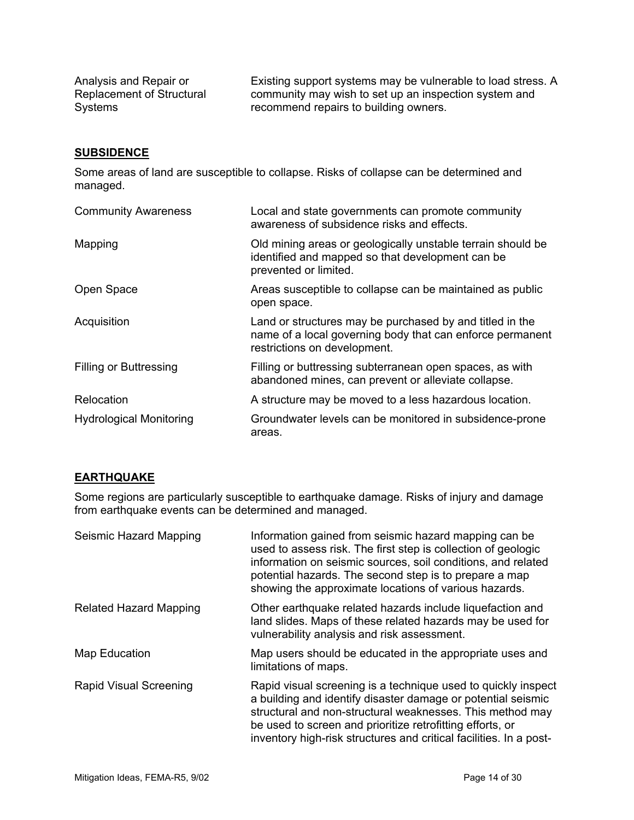Analysis and Repair or Replacement of Structural Systems

Existing support systems may be vulnerable to load stress. A community may wish to set up an inspection system and recommend repairs to building owners.

#### **SUBSIDENCE**

Some areas of land are susceptible to collapse. Risks of collapse can be determined and managed.

| <b>Community Awareness</b>     | Local and state governments can promote community<br>awareness of subsidence risks and effects.                                                       |
|--------------------------------|-------------------------------------------------------------------------------------------------------------------------------------------------------|
| Mapping                        | Old mining areas or geologically unstable terrain should be<br>identified and mapped so that development can be<br>prevented or limited.              |
| Open Space                     | Areas susceptible to collapse can be maintained as public<br>open space.                                                                              |
| Acquisition                    | Land or structures may be purchased by and titled in the<br>name of a local governing body that can enforce permanent<br>restrictions on development. |
| <b>Filling or Buttressing</b>  | Filling or buttressing subterranean open spaces, as with<br>abandoned mines, can prevent or alleviate collapse.                                       |
| Relocation                     | A structure may be moved to a less hazardous location.                                                                                                |
| <b>Hydrological Monitoring</b> | Groundwater levels can be monitored in subsidence-prone<br>areas.                                                                                     |

#### **EARTHQUAKE**

Some regions are particularly susceptible to earthquake damage. Risks of injury and damage from earthquake events can be determined and managed.

| Seismic Hazard Mapping        | Information gained from seismic hazard mapping can be<br>used to assess risk. The first step is collection of geologic<br>information on seismic sources, soil conditions, and related<br>potential hazards. The second step is to prepare a map<br>showing the approximate locations of various hazards.                     |
|-------------------------------|-------------------------------------------------------------------------------------------------------------------------------------------------------------------------------------------------------------------------------------------------------------------------------------------------------------------------------|
| <b>Related Hazard Mapping</b> | Other earthquake related hazards include liquefaction and<br>land slides. Maps of these related hazards may be used for<br>vulnerability analysis and risk assessment.                                                                                                                                                        |
| Map Education                 | Map users should be educated in the appropriate uses and<br>limitations of maps.                                                                                                                                                                                                                                              |
| <b>Rapid Visual Screening</b> | Rapid visual screening is a technique used to quickly inspect<br>a building and identify disaster damage or potential seismic<br>structural and non-structural weaknesses. This method may<br>be used to screen and prioritize retrofitting efforts, or<br>inventory high-risk structures and critical facilities. In a post- |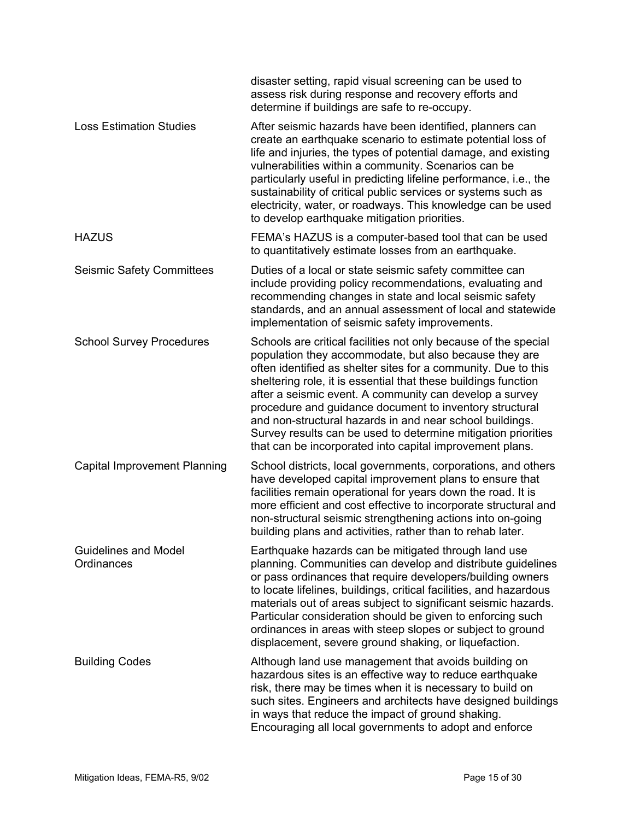|                                           | disaster setting, rapid visual screening can be used to<br>assess risk during response and recovery efforts and<br>determine if buildings are safe to re-occupy.                                                                                                                                                                                                                                                                                                                                                                                                             |
|-------------------------------------------|------------------------------------------------------------------------------------------------------------------------------------------------------------------------------------------------------------------------------------------------------------------------------------------------------------------------------------------------------------------------------------------------------------------------------------------------------------------------------------------------------------------------------------------------------------------------------|
| <b>Loss Estimation Studies</b>            | After seismic hazards have been identified, planners can<br>create an earthquake scenario to estimate potential loss of<br>life and injuries, the types of potential damage, and existing<br>vulnerabilities within a community. Scenarios can be<br>particularly useful in predicting lifeline performance, i.e., the<br>sustainability of critical public services or systems such as<br>electricity, water, or roadways. This knowledge can be used<br>to develop earthquake mitigation priorities.                                                                       |
| <b>HAZUS</b>                              | FEMA's HAZUS is a computer-based tool that can be used<br>to quantitatively estimate losses from an earthquake.                                                                                                                                                                                                                                                                                                                                                                                                                                                              |
| <b>Seismic Safety Committees</b>          | Duties of a local or state seismic safety committee can<br>include providing policy recommendations, evaluating and<br>recommending changes in state and local seismic safety<br>standards, and an annual assessment of local and statewide<br>implementation of seismic safety improvements.                                                                                                                                                                                                                                                                                |
| <b>School Survey Procedures</b>           | Schools are critical facilities not only because of the special<br>population they accommodate, but also because they are<br>often identified as shelter sites for a community. Due to this<br>sheltering role, it is essential that these buildings function<br>after a seismic event. A community can develop a survey<br>procedure and guidance document to inventory structural<br>and non-structural hazards in and near school buildings.<br>Survey results can be used to determine mitigation priorities<br>that can be incorporated into capital improvement plans. |
| <b>Capital Improvement Planning</b>       | School districts, local governments, corporations, and others<br>have developed capital improvement plans to ensure that<br>facilities remain operational for years down the road. It is<br>more efficient and cost effective to incorporate structural and<br>non-structural seismic strengthening actions into on-going<br>building plans and activities, rather than to rehab later.                                                                                                                                                                                      |
| <b>Guidelines and Model</b><br>Ordinances | Earthquake hazards can be mitigated through land use<br>planning. Communities can develop and distribute guidelines<br>or pass ordinances that require developers/building owners<br>to locate lifelines, buildings, critical facilities, and hazardous<br>materials out of areas subject to significant seismic hazards.<br>Particular consideration should be given to enforcing such<br>ordinances in areas with steep slopes or subject to ground<br>displacement, severe ground shaking, or liquefaction.                                                               |
| <b>Building Codes</b>                     | Although land use management that avoids building on<br>hazardous sites is an effective way to reduce earthquake<br>risk, there may be times when it is necessary to build on<br>such sites. Engineers and architects have designed buildings<br>in ways that reduce the impact of ground shaking.<br>Encouraging all local governments to adopt and enforce                                                                                                                                                                                                                 |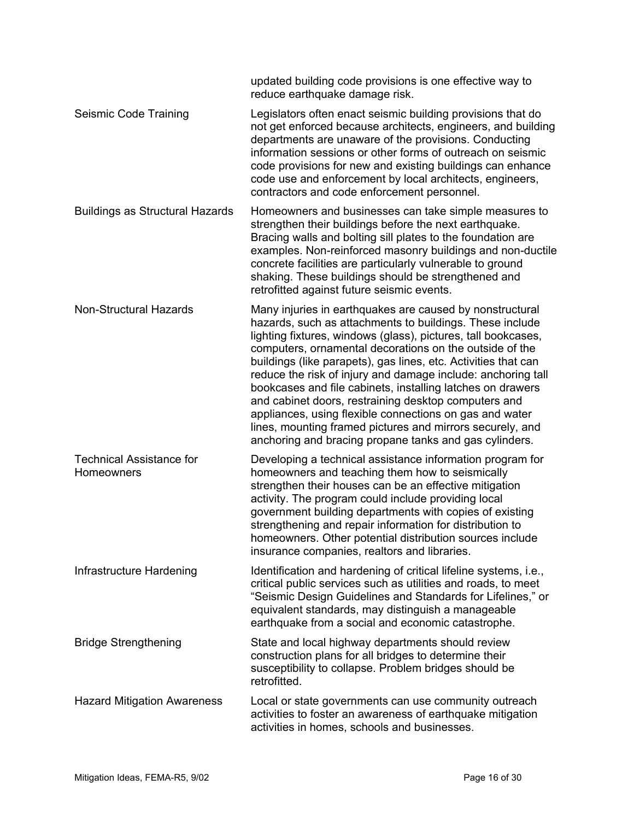|                                               | updated building code provisions is one effective way to<br>reduce earthquake damage risk.                                                                                                                                                                                                                                                                                                                                                                                                                                                                                                                                                                                                 |
|-----------------------------------------------|--------------------------------------------------------------------------------------------------------------------------------------------------------------------------------------------------------------------------------------------------------------------------------------------------------------------------------------------------------------------------------------------------------------------------------------------------------------------------------------------------------------------------------------------------------------------------------------------------------------------------------------------------------------------------------------------|
| Seismic Code Training                         | Legislators often enact seismic building provisions that do<br>not get enforced because architects, engineers, and building<br>departments are unaware of the provisions. Conducting<br>information sessions or other forms of outreach on seismic<br>code provisions for new and existing buildings can enhance<br>code use and enforcement by local architects, engineers,<br>contractors and code enforcement personnel.                                                                                                                                                                                                                                                                |
| <b>Buildings as Structural Hazards</b>        | Homeowners and businesses can take simple measures to<br>strengthen their buildings before the next earthquake.<br>Bracing walls and bolting sill plates to the foundation are<br>examples. Non-reinforced masonry buildings and non-ductile<br>concrete facilities are particularly vulnerable to ground<br>shaking. These buildings should be strengthened and<br>retrofitted against future seismic events.                                                                                                                                                                                                                                                                             |
| Non-Structural Hazards                        | Many injuries in earthquakes are caused by nonstructural<br>hazards, such as attachments to buildings. These include<br>lighting fixtures, windows (glass), pictures, tall bookcases,<br>computers, ornamental decorations on the outside of the<br>buildings (like parapets), gas lines, etc. Activities that can<br>reduce the risk of injury and damage include: anchoring tall<br>bookcases and file cabinets, installing latches on drawers<br>and cabinet doors, restraining desktop computers and<br>appliances, using flexible connections on gas and water<br>lines, mounting framed pictures and mirrors securely, and<br>anchoring and bracing propane tanks and gas cylinders. |
| <b>Technical Assistance for</b><br>Homeowners | Developing a technical assistance information program for<br>homeowners and teaching them how to seismically<br>strengthen their houses can be an effective mitigation<br>activity. The program could include providing local<br>government building departments with copies of existing<br>strengthening and repair information for distribution to<br>homeowners. Other potential distribution sources include<br>insurance companies, realtors and libraries.                                                                                                                                                                                                                           |
| Infrastructure Hardening                      | Identification and hardening of critical lifeline systems, i.e.,<br>critical public services such as utilities and roads, to meet<br>"Seismic Design Guidelines and Standards for Lifelines," or<br>equivalent standards, may distinguish a manageable<br>earthquake from a social and economic catastrophe.                                                                                                                                                                                                                                                                                                                                                                               |
| <b>Bridge Strengthening</b>                   | State and local highway departments should review<br>construction plans for all bridges to determine their<br>susceptibility to collapse. Problem bridges should be<br>retrofitted.                                                                                                                                                                                                                                                                                                                                                                                                                                                                                                        |
| <b>Hazard Mitigation Awareness</b>            | Local or state governments can use community outreach<br>activities to foster an awareness of earthquake mitigation<br>activities in homes, schools and businesses.                                                                                                                                                                                                                                                                                                                                                                                                                                                                                                                        |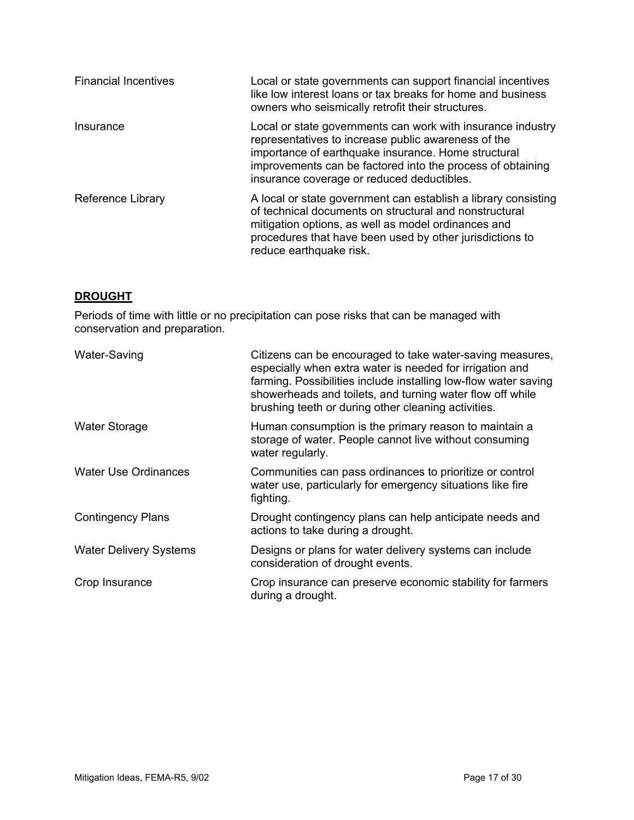| <b>Financial Incentives</b> | Local or state governments can support financial incentives<br>like low interest loans or tax breaks for home and business<br>owners who seismically retrofit their structures.                                                                                                       |
|-----------------------------|---------------------------------------------------------------------------------------------------------------------------------------------------------------------------------------------------------------------------------------------------------------------------------------|
| Insurance                   | Local or state governments can work with insurance industry<br>representatives to increase public awareness of the<br>importance of earthquake insurance. Home structural<br>improvements can be factored into the process of obtaining<br>insurance coverage or reduced deductibles. |
| Reference Library           | A local or state government can establish a library consisting<br>of technical documents on structural and nonstructural<br>mitigation options, as well as model ordinances and<br>procedures that have been used by other jurisdictions to<br>reduce earthquake risk.                |

#### **DROUGHT**

Periods of time with little or no precipitation can pose risks that can be managed with conservation and preparation.

| Water-Saving                  | Citizens can be encouraged to take water-saving measures,<br>especially when extra water is needed for irrigation and<br>farming. Possibilities include installing low-flow water saving<br>showerheads and toilets, and turning water flow off while<br>brushing teeth or during other cleaning activities. |
|-------------------------------|--------------------------------------------------------------------------------------------------------------------------------------------------------------------------------------------------------------------------------------------------------------------------------------------------------------|
| <b>Water Storage</b>          | Human consumption is the primary reason to maintain a<br>storage of water. People cannot live without consuming<br>water regularly.                                                                                                                                                                          |
| <b>Water Use Ordinances</b>   | Communities can pass ordinances to prioritize or control<br>water use, particularly for emergency situations like fire<br>fighting.                                                                                                                                                                          |
| <b>Contingency Plans</b>      | Drought contingency plans can help anticipate needs and<br>actions to take during a drought.                                                                                                                                                                                                                 |
| <b>Water Delivery Systems</b> | Designs or plans for water delivery systems can include<br>consideration of drought events.                                                                                                                                                                                                                  |
| Crop Insurance                | Crop insurance can preserve economic stability for farmers<br>during a drought.                                                                                                                                                                                                                              |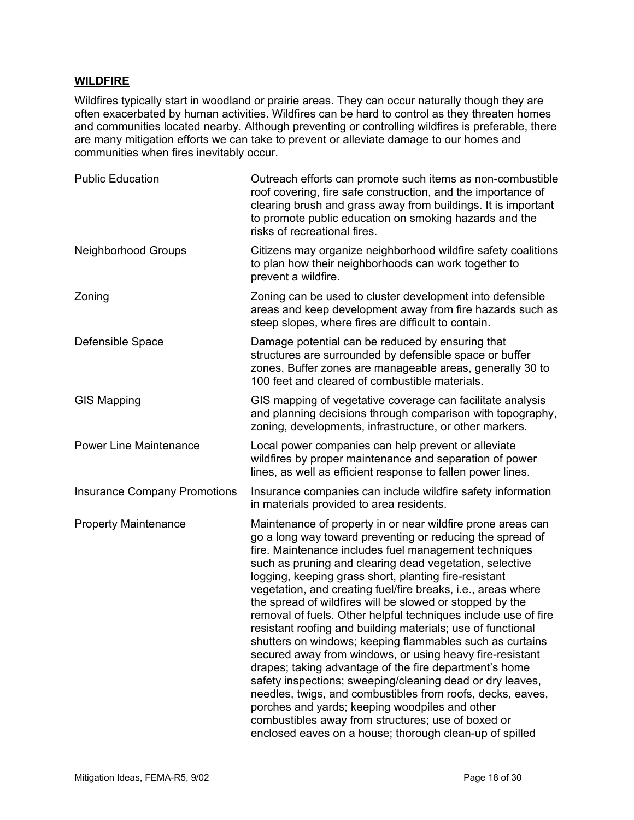#### **WILDFIRE**

Wildfires typically start in woodland or prairie areas. They can occur naturally though they are often exacerbated by human activities. Wildfires can be hard to control as they threaten homes and communities located nearby. Although preventing or controlling wildfires is preferable, there are many mitigation efforts we can take to prevent or alleviate damage to our homes and communities when fires inevitably occur.

| <b>Public Education</b>             | Outreach efforts can promote such items as non-combustible<br>roof covering, fire safe construction, and the importance of<br>clearing brush and grass away from buildings. It is important<br>to promote public education on smoking hazards and the<br>risks of recreational fires.                                                                                                                                                                                                                                                                                                                                                                                                                                                                                                                                                                                                                                                                                                                                                              |
|-------------------------------------|----------------------------------------------------------------------------------------------------------------------------------------------------------------------------------------------------------------------------------------------------------------------------------------------------------------------------------------------------------------------------------------------------------------------------------------------------------------------------------------------------------------------------------------------------------------------------------------------------------------------------------------------------------------------------------------------------------------------------------------------------------------------------------------------------------------------------------------------------------------------------------------------------------------------------------------------------------------------------------------------------------------------------------------------------|
| <b>Neighborhood Groups</b>          | Citizens may organize neighborhood wildfire safety coalitions<br>to plan how their neighborhoods can work together to<br>prevent a wildfire.                                                                                                                                                                                                                                                                                                                                                                                                                                                                                                                                                                                                                                                                                                                                                                                                                                                                                                       |
| Zoning                              | Zoning can be used to cluster development into defensible<br>areas and keep development away from fire hazards such as<br>steep slopes, where fires are difficult to contain.                                                                                                                                                                                                                                                                                                                                                                                                                                                                                                                                                                                                                                                                                                                                                                                                                                                                      |
| Defensible Space                    | Damage potential can be reduced by ensuring that<br>structures are surrounded by defensible space or buffer<br>zones. Buffer zones are manageable areas, generally 30 to<br>100 feet and cleared of combustible materials.                                                                                                                                                                                                                                                                                                                                                                                                                                                                                                                                                                                                                                                                                                                                                                                                                         |
| <b>GIS Mapping</b>                  | GIS mapping of vegetative coverage can facilitate analysis<br>and planning decisions through comparison with topography,<br>zoning, developments, infrastructure, or other markers.                                                                                                                                                                                                                                                                                                                                                                                                                                                                                                                                                                                                                                                                                                                                                                                                                                                                |
| <b>Power Line Maintenance</b>       | Local power companies can help prevent or alleviate<br>wildfires by proper maintenance and separation of power<br>lines, as well as efficient response to fallen power lines.                                                                                                                                                                                                                                                                                                                                                                                                                                                                                                                                                                                                                                                                                                                                                                                                                                                                      |
| <b>Insurance Company Promotions</b> | Insurance companies can include wildfire safety information<br>in materials provided to area residents.                                                                                                                                                                                                                                                                                                                                                                                                                                                                                                                                                                                                                                                                                                                                                                                                                                                                                                                                            |
| <b>Property Maintenance</b>         | Maintenance of property in or near wildfire prone areas can<br>go a long way toward preventing or reducing the spread of<br>fire. Maintenance includes fuel management techniques<br>such as pruning and clearing dead vegetation, selective<br>logging, keeping grass short, planting fire-resistant<br>vegetation, and creating fuel/fire breaks, i.e., areas where<br>the spread of wildfires will be slowed or stopped by the<br>removal of fuels. Other helpful techniques include use of fire<br>resistant roofing and building materials; use of functional<br>shutters on windows; keeping flammables such as curtains<br>secured away from windows, or using heavy fire-resistant<br>drapes; taking advantage of the fire department's home<br>safety inspections; sweeping/cleaning dead or dry leaves,<br>needles, twigs, and combustibles from roofs, decks, eaves,<br>porches and yards; keeping woodpiles and other<br>combustibles away from structures; use of boxed or<br>enclosed eaves on a house; thorough clean-up of spilled |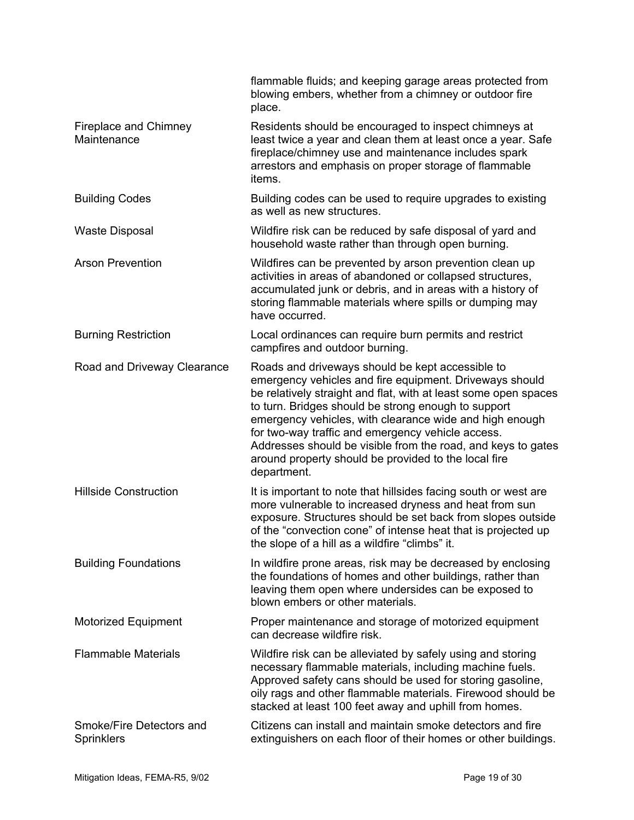|                                               | flammable fluids; and keeping garage areas protected from<br>blowing embers, whether from a chimney or outdoor fire<br>place.                                                                                                                                                                                                                                                                                                                                                                |
|-----------------------------------------------|----------------------------------------------------------------------------------------------------------------------------------------------------------------------------------------------------------------------------------------------------------------------------------------------------------------------------------------------------------------------------------------------------------------------------------------------------------------------------------------------|
| Fireplace and Chimney<br>Maintenance          | Residents should be encouraged to inspect chimneys at<br>least twice a year and clean them at least once a year. Safe<br>fireplace/chimney use and maintenance includes spark<br>arrestors and emphasis on proper storage of flammable<br>items.                                                                                                                                                                                                                                             |
| <b>Building Codes</b>                         | Building codes can be used to require upgrades to existing<br>as well as new structures.                                                                                                                                                                                                                                                                                                                                                                                                     |
| <b>Waste Disposal</b>                         | Wildfire risk can be reduced by safe disposal of yard and<br>household waste rather than through open burning.                                                                                                                                                                                                                                                                                                                                                                               |
| <b>Arson Prevention</b>                       | Wildfires can be prevented by arson prevention clean up<br>activities in areas of abandoned or collapsed structures,<br>accumulated junk or debris, and in areas with a history of<br>storing flammable materials where spills or dumping may<br>have occurred.                                                                                                                                                                                                                              |
| <b>Burning Restriction</b>                    | Local ordinances can require burn permits and restrict<br>campfires and outdoor burning.                                                                                                                                                                                                                                                                                                                                                                                                     |
| Road and Driveway Clearance                   | Roads and driveways should be kept accessible to<br>emergency vehicles and fire equipment. Driveways should<br>be relatively straight and flat, with at least some open spaces<br>to turn. Bridges should be strong enough to support<br>emergency vehicles, with clearance wide and high enough<br>for two-way traffic and emergency vehicle access.<br>Addresses should be visible from the road, and keys to gates<br>around property should be provided to the local fire<br>department. |
| <b>Hillside Construction</b>                  | It is important to note that hillsides facing south or west are<br>more vulnerable to increased dryness and heat from sun<br>exposure. Structures should be set back from slopes outside<br>of the "convection cone" of intense heat that is projected up<br>the slope of a hill as a wildfire "climbs" it.                                                                                                                                                                                  |
| <b>Building Foundations</b>                   | In wildfire prone areas, risk may be decreased by enclosing<br>the foundations of homes and other buildings, rather than<br>leaving them open where undersides can be exposed to<br>blown embers or other materials.                                                                                                                                                                                                                                                                         |
| <b>Motorized Equipment</b>                    | Proper maintenance and storage of motorized equipment<br>can decrease wildfire risk.                                                                                                                                                                                                                                                                                                                                                                                                         |
| <b>Flammable Materials</b>                    | Wildfire risk can be alleviated by safely using and storing<br>necessary flammable materials, including machine fuels.<br>Approved safety cans should be used for storing gasoline,<br>oily rags and other flammable materials. Firewood should be<br>stacked at least 100 feet away and uphill from homes.                                                                                                                                                                                  |
| Smoke/Fire Detectors and<br><b>Sprinklers</b> | Citizens can install and maintain smoke detectors and fire<br>extinguishers on each floor of their homes or other buildings.                                                                                                                                                                                                                                                                                                                                                                 |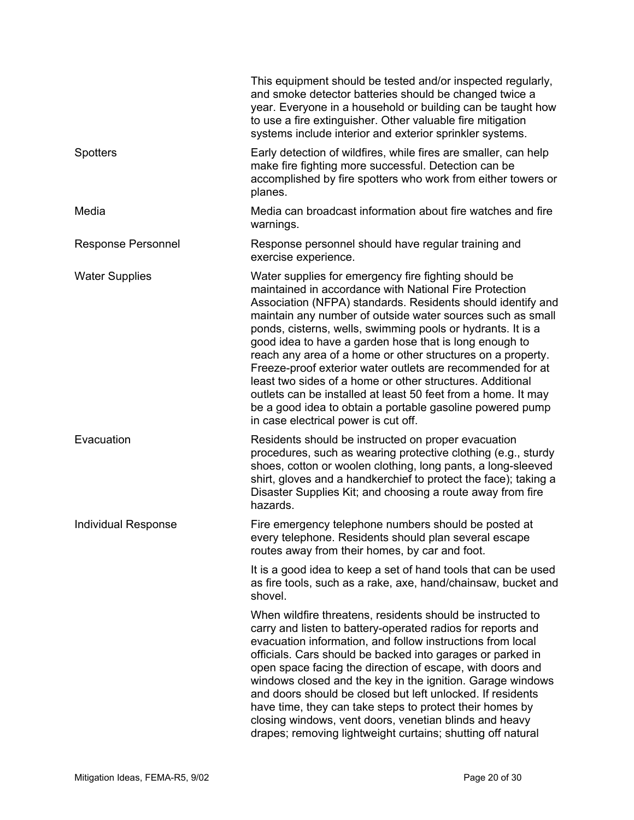|                            | This equipment should be tested and/or inspected regularly,<br>and smoke detector batteries should be changed twice a<br>year. Everyone in a household or building can be taught how<br>to use a fire extinguisher. Other valuable fire mitigation<br>systems include interior and exterior sprinkler systems.                                                                                                                                                                                                                                                                                                                                                                                                                       |
|----------------------------|--------------------------------------------------------------------------------------------------------------------------------------------------------------------------------------------------------------------------------------------------------------------------------------------------------------------------------------------------------------------------------------------------------------------------------------------------------------------------------------------------------------------------------------------------------------------------------------------------------------------------------------------------------------------------------------------------------------------------------------|
| <b>Spotters</b>            | Early detection of wildfires, while fires are smaller, can help<br>make fire fighting more successful. Detection can be<br>accomplished by fire spotters who work from either towers or<br>planes.                                                                                                                                                                                                                                                                                                                                                                                                                                                                                                                                   |
| Media                      | Media can broadcast information about fire watches and fire<br>warnings.                                                                                                                                                                                                                                                                                                                                                                                                                                                                                                                                                                                                                                                             |
| <b>Response Personnel</b>  | Response personnel should have regular training and<br>exercise experience.                                                                                                                                                                                                                                                                                                                                                                                                                                                                                                                                                                                                                                                          |
| <b>Water Supplies</b>      | Water supplies for emergency fire fighting should be<br>maintained in accordance with National Fire Protection<br>Association (NFPA) standards. Residents should identify and<br>maintain any number of outside water sources such as small<br>ponds, cisterns, wells, swimming pools or hydrants. It is a<br>good idea to have a garden hose that is long enough to<br>reach any area of a home or other structures on a property.<br>Freeze-proof exterior water outlets are recommended for at<br>least two sides of a home or other structures. Additional<br>outlets can be installed at least 50 feet from a home. It may<br>be a good idea to obtain a portable gasoline powered pump<br>in case electrical power is cut off. |
| Evacuation                 | Residents should be instructed on proper evacuation<br>procedures, such as wearing protective clothing (e.g., sturdy<br>shoes, cotton or woolen clothing, long pants, a long-sleeved<br>shirt, gloves and a handkerchief to protect the face); taking a<br>Disaster Supplies Kit; and choosing a route away from fire<br>hazards.                                                                                                                                                                                                                                                                                                                                                                                                    |
| <b>Individual Response</b> | Fire emergency telephone numbers should be posted at<br>every telephone. Residents should plan several escape<br>routes away from their homes, by car and foot.                                                                                                                                                                                                                                                                                                                                                                                                                                                                                                                                                                      |
|                            | It is a good idea to keep a set of hand tools that can be used<br>as fire tools, such as a rake, axe, hand/chainsaw, bucket and<br>shovel.                                                                                                                                                                                                                                                                                                                                                                                                                                                                                                                                                                                           |
|                            | When wildfire threatens, residents should be instructed to<br>carry and listen to battery-operated radios for reports and<br>evacuation information, and follow instructions from local<br>officials. Cars should be backed into garages or parked in<br>open space facing the direction of escape, with doors and<br>windows closed and the key in the ignition. Garage windows<br>and doors should be closed but left unlocked. If residents<br>have time, they can take steps to protect their homes by<br>closing windows, vent doors, venetian blinds and heavy<br>drapes; removing lightweight curtains; shutting off natural                                                                                                  |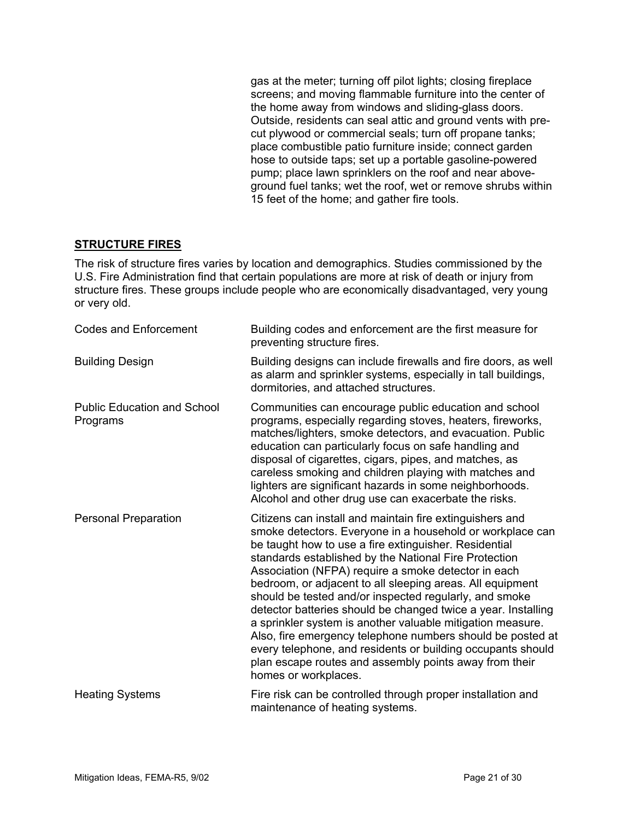gas at the meter; turning off pilot lights; closing fireplace screens; and moving flammable furniture into the center of the home away from windows and sliding-glass doors. Outside, residents can seal attic and ground vents with precut plywood or commercial seals; turn off propane tanks; place combustible patio furniture inside; connect garden hose to outside taps; set up a portable gasoline-powered pump; place lawn sprinklers on the roof and near aboveground fuel tanks; wet the roof, wet or remove shrubs within 15 feet of the home; and gather fire tools.

#### **STRUCTURE FIRES**

The risk of structure fires varies by location and demographics. Studies commissioned by the U.S. Fire Administration find that certain populations are more at risk of death or injury from structure fires. These groups include people who are economically disadvantaged, very young or very old.

| <b>Codes and Enforcement</b>                   | Building codes and enforcement are the first measure for<br>preventing structure fires.                                                                                                                                                                                                                                                                                                                                                                                                                                                                                                                                                                                                                                                                             |
|------------------------------------------------|---------------------------------------------------------------------------------------------------------------------------------------------------------------------------------------------------------------------------------------------------------------------------------------------------------------------------------------------------------------------------------------------------------------------------------------------------------------------------------------------------------------------------------------------------------------------------------------------------------------------------------------------------------------------------------------------------------------------------------------------------------------------|
| <b>Building Design</b>                         | Building designs can include firewalls and fire doors, as well<br>as alarm and sprinkler systems, especially in tall buildings,<br>dormitories, and attached structures.                                                                                                                                                                                                                                                                                                                                                                                                                                                                                                                                                                                            |
| <b>Public Education and School</b><br>Programs | Communities can encourage public education and school<br>programs, especially regarding stoves, heaters, fireworks,<br>matches/lighters, smoke detectors, and evacuation. Public<br>education can particularly focus on safe handling and<br>disposal of cigarettes, cigars, pipes, and matches, as<br>careless smoking and children playing with matches and<br>lighters are significant hazards in some neighborhoods.<br>Alcohol and other drug use can exacerbate the risks.                                                                                                                                                                                                                                                                                    |
| Personal Preparation                           | Citizens can install and maintain fire extinguishers and<br>smoke detectors. Everyone in a household or workplace can<br>be taught how to use a fire extinguisher. Residential<br>standards established by the National Fire Protection<br>Association (NFPA) require a smoke detector in each<br>bedroom, or adjacent to all sleeping areas. All equipment<br>should be tested and/or inspected regularly, and smoke<br>detector batteries should be changed twice a year. Installing<br>a sprinkler system is another valuable mitigation measure.<br>Also, fire emergency telephone numbers should be posted at<br>every telephone, and residents or building occupants should<br>plan escape routes and assembly points away from their<br>homes or workplaces. |
| <b>Heating Systems</b>                         | Fire risk can be controlled through proper installation and<br>maintenance of heating systems.                                                                                                                                                                                                                                                                                                                                                                                                                                                                                                                                                                                                                                                                      |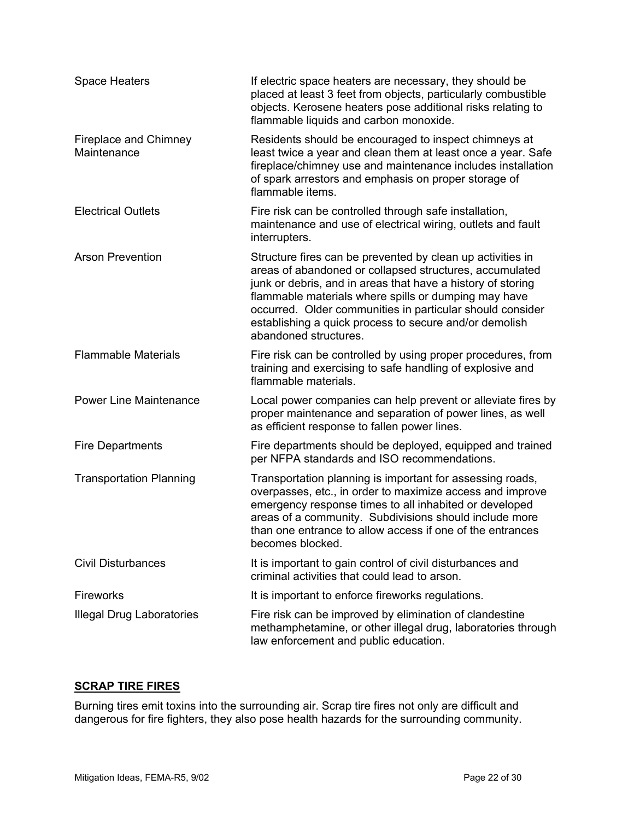| <b>Space Heaters</b>                 | If electric space heaters are necessary, they should be<br>placed at least 3 feet from objects, particularly combustible<br>objects. Kerosene heaters pose additional risks relating to<br>flammable liquids and carbon monoxide.                                                                                                                                                            |
|--------------------------------------|----------------------------------------------------------------------------------------------------------------------------------------------------------------------------------------------------------------------------------------------------------------------------------------------------------------------------------------------------------------------------------------------|
| Fireplace and Chimney<br>Maintenance | Residents should be encouraged to inspect chimneys at<br>least twice a year and clean them at least once a year. Safe<br>fireplace/chimney use and maintenance includes installation<br>of spark arrestors and emphasis on proper storage of<br>flammable items.                                                                                                                             |
| <b>Electrical Outlets</b>            | Fire risk can be controlled through safe installation,<br>maintenance and use of electrical wiring, outlets and fault<br>interrupters.                                                                                                                                                                                                                                                       |
| <b>Arson Prevention</b>              | Structure fires can be prevented by clean up activities in<br>areas of abandoned or collapsed structures, accumulated<br>junk or debris, and in areas that have a history of storing<br>flammable materials where spills or dumping may have<br>occurred. Older communities in particular should consider<br>establishing a quick process to secure and/or demolish<br>abandoned structures. |
| <b>Flammable Materials</b>           | Fire risk can be controlled by using proper procedures, from<br>training and exercising to safe handling of explosive and<br>flammable materials.                                                                                                                                                                                                                                            |
| <b>Power Line Maintenance</b>        | Local power companies can help prevent or alleviate fires by<br>proper maintenance and separation of power lines, as well<br>as efficient response to fallen power lines.                                                                                                                                                                                                                    |
| <b>Fire Departments</b>              | Fire departments should be deployed, equipped and trained<br>per NFPA standards and ISO recommendations.                                                                                                                                                                                                                                                                                     |
| <b>Transportation Planning</b>       | Transportation planning is important for assessing roads,<br>overpasses, etc., in order to maximize access and improve<br>emergency response times to all inhabited or developed<br>areas of a community. Subdivisions should include more<br>than one entrance to allow access if one of the entrances<br>becomes blocked.                                                                  |
| <b>Civil Disturbances</b>            | It is important to gain control of civil disturbances and<br>criminal activities that could lead to arson.                                                                                                                                                                                                                                                                                   |
| <b>Fireworks</b>                     | It is important to enforce fireworks regulations.                                                                                                                                                                                                                                                                                                                                            |
| <b>Illegal Drug Laboratories</b>     | Fire risk can be improved by elimination of clandestine<br>methamphetamine, or other illegal drug, laboratories through<br>law enforcement and public education.                                                                                                                                                                                                                             |

# **SCRAP TIRE FIRES**

Burning tires emit toxins into the surrounding air. Scrap tire fires not only are difficult and dangerous for fire fighters, they also pose health hazards for the surrounding community.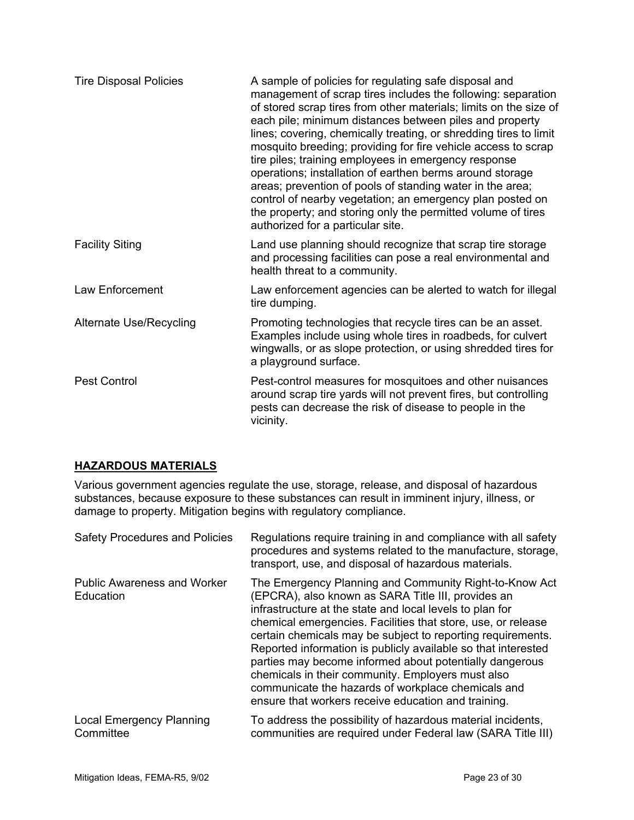| <b>Tire Disposal Policies</b>  | A sample of policies for regulating safe disposal and<br>management of scrap tires includes the following: separation<br>of stored scrap tires from other materials; limits on the size of<br>each pile; minimum distances between piles and property<br>lines; covering, chemically treating, or shredding tires to limit<br>mosquito breeding; providing for fire vehicle access to scrap<br>tire piles; training employees in emergency response<br>operations; installation of earthen berms around storage<br>areas; prevention of pools of standing water in the area;<br>control of nearby vegetation; an emergency plan posted on<br>the property; and storing only the permitted volume of tires<br>authorized for a particular site. |
|--------------------------------|------------------------------------------------------------------------------------------------------------------------------------------------------------------------------------------------------------------------------------------------------------------------------------------------------------------------------------------------------------------------------------------------------------------------------------------------------------------------------------------------------------------------------------------------------------------------------------------------------------------------------------------------------------------------------------------------------------------------------------------------|
| <b>Facility Siting</b>         | Land use planning should recognize that scrap tire storage<br>and processing facilities can pose a real environmental and<br>health threat to a community.                                                                                                                                                                                                                                                                                                                                                                                                                                                                                                                                                                                     |
| Law Enforcement                | Law enforcement agencies can be alerted to watch for illegal<br>tire dumping.                                                                                                                                                                                                                                                                                                                                                                                                                                                                                                                                                                                                                                                                  |
| <b>Alternate Use/Recycling</b> | Promoting technologies that recycle tires can be an asset.<br>Examples include using whole tires in roadbeds, for culvert<br>wingwalls, or as slope protection, or using shredded tires for<br>a playground surface.                                                                                                                                                                                                                                                                                                                                                                                                                                                                                                                           |
| <b>Pest Control</b>            | Pest-control measures for mosquitoes and other nuisances<br>around scrap tire yards will not prevent fires, but controlling<br>pests can decrease the risk of disease to people in the<br>vicinity.                                                                                                                                                                                                                                                                                                                                                                                                                                                                                                                                            |

# **HAZARDOUS MATERIALS**

Various government agencies regulate the use, storage, release, and disposal of hazardous substances, because exposure to these substances can result in imminent injury, illness, or damage to property. Mitigation begins with regulatory compliance.

| <b>Safety Procedures and Policies</b>           | Regulations require training in and compliance with all safety<br>procedures and systems related to the manufacture, storage,<br>transport, use, and disposal of hazardous materials.                                                                                                                                                                                                                                                                                                                                                                                                                 |
|-------------------------------------------------|-------------------------------------------------------------------------------------------------------------------------------------------------------------------------------------------------------------------------------------------------------------------------------------------------------------------------------------------------------------------------------------------------------------------------------------------------------------------------------------------------------------------------------------------------------------------------------------------------------|
| <b>Public Awareness and Worker</b><br>Education | The Emergency Planning and Community Right-to-Know Act<br>(EPCRA), also known as SARA Title III, provides an<br>infrastructure at the state and local levels to plan for<br>chemical emergencies. Facilities that store, use, or release<br>certain chemicals may be subject to reporting requirements.<br>Reported information is publicly available so that interested<br>parties may become informed about potentially dangerous<br>chemicals in their community. Employers must also<br>communicate the hazards of workplace chemicals and<br>ensure that workers receive education and training. |
| <b>Local Emergency Planning</b><br>Committee    | To address the possibility of hazardous material incidents,<br>communities are required under Federal law (SARA Title III)                                                                                                                                                                                                                                                                                                                                                                                                                                                                            |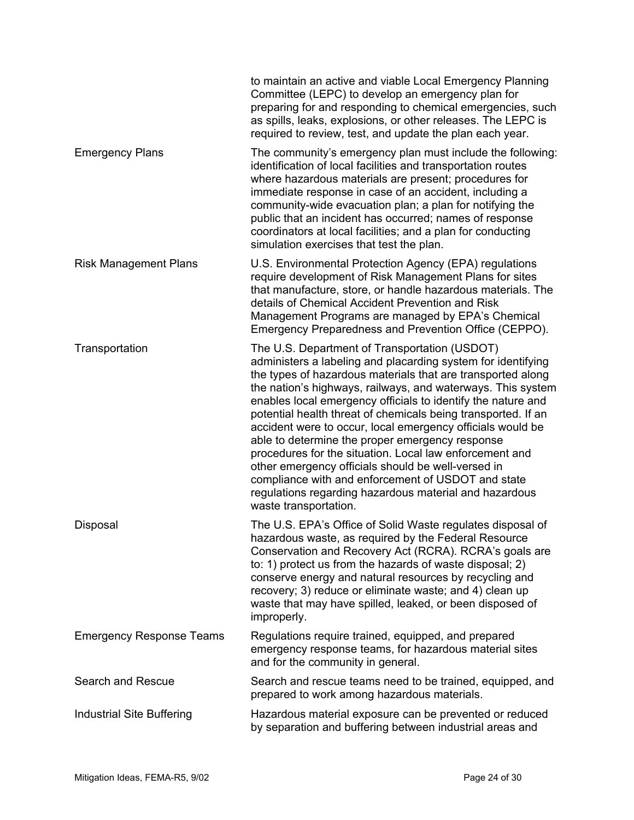|                                 | to maintain an active and viable Local Emergency Planning<br>Committee (LEPC) to develop an emergency plan for<br>preparing for and responding to chemical emergencies, such<br>as spills, leaks, explosions, or other releases. The LEPC is<br>required to review, test, and update the plan each year.                                                                                                                                                                                                                                                                                                                                                                                                                                                |
|---------------------------------|---------------------------------------------------------------------------------------------------------------------------------------------------------------------------------------------------------------------------------------------------------------------------------------------------------------------------------------------------------------------------------------------------------------------------------------------------------------------------------------------------------------------------------------------------------------------------------------------------------------------------------------------------------------------------------------------------------------------------------------------------------|
| <b>Emergency Plans</b>          | The community's emergency plan must include the following:<br>identification of local facilities and transportation routes<br>where hazardous materials are present; procedures for<br>immediate response in case of an accident, including a<br>community-wide evacuation plan; a plan for notifying the<br>public that an incident has occurred; names of response<br>coordinators at local facilities; and a plan for conducting<br>simulation exercises that test the plan.                                                                                                                                                                                                                                                                         |
| <b>Risk Management Plans</b>    | U.S. Environmental Protection Agency (EPA) regulations<br>require development of Risk Management Plans for sites<br>that manufacture, store, or handle hazardous materials. The<br>details of Chemical Accident Prevention and Risk<br>Management Programs are managed by EPA's Chemical<br>Emergency Preparedness and Prevention Office (CEPPO).                                                                                                                                                                                                                                                                                                                                                                                                       |
| Transportation                  | The U.S. Department of Transportation (USDOT)<br>administers a labeling and placarding system for identifying<br>the types of hazardous materials that are transported along<br>the nation's highways, railways, and waterways. This system<br>enables local emergency officials to identify the nature and<br>potential health threat of chemicals being transported. If an<br>accident were to occur, local emergency officials would be<br>able to determine the proper emergency response<br>procedures for the situation. Local law enforcement and<br>other emergency officials should be well-versed in<br>compliance with and enforcement of USDOT and state<br>regulations regarding hazardous material and hazardous<br>waste transportation. |
| Disposal                        | The U.S. EPA's Office of Solid Waste regulates disposal of<br>hazardous waste, as required by the Federal Resource<br>Conservation and Recovery Act (RCRA). RCRA's goals are<br>to: 1) protect us from the hazards of waste disposal; 2)<br>conserve energy and natural resources by recycling and<br>recovery; 3) reduce or eliminate waste; and 4) clean up<br>waste that may have spilled, leaked, or been disposed of<br>improperly.                                                                                                                                                                                                                                                                                                                |
| <b>Emergency Response Teams</b> | Regulations require trained, equipped, and prepared<br>emergency response teams, for hazardous material sites<br>and for the community in general.                                                                                                                                                                                                                                                                                                                                                                                                                                                                                                                                                                                                      |
| Search and Rescue               | Search and rescue teams need to be trained, equipped, and<br>prepared to work among hazardous materials.                                                                                                                                                                                                                                                                                                                                                                                                                                                                                                                                                                                                                                                |
| Industrial Site Buffering       | Hazardous material exposure can be prevented or reduced<br>by separation and buffering between industrial areas and                                                                                                                                                                                                                                                                                                                                                                                                                                                                                                                                                                                                                                     |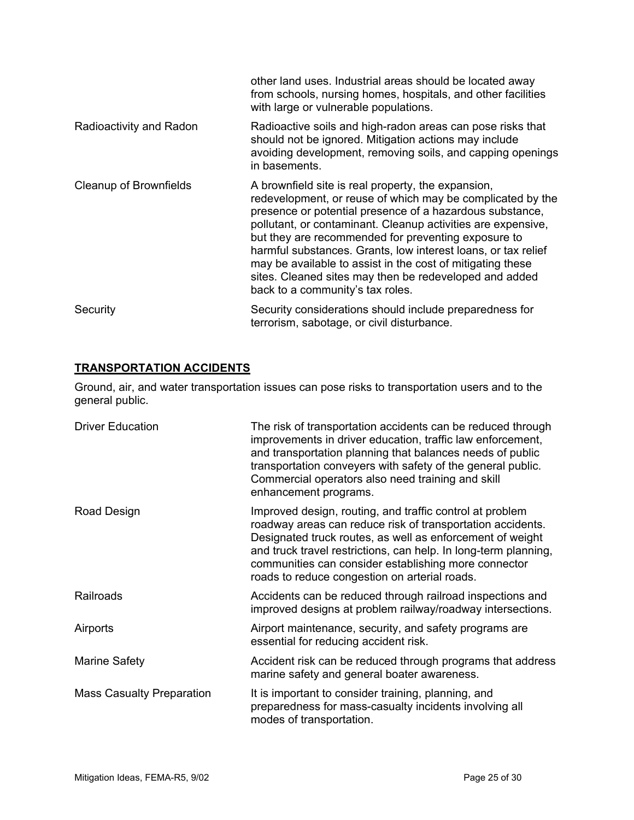|                         | other land uses. Industrial areas should be located away<br>from schools, nursing homes, hospitals, and other facilities<br>with large or vulnerable populations.                                                                                                                                                                                                                                                                                                                                                                |
|-------------------------|----------------------------------------------------------------------------------------------------------------------------------------------------------------------------------------------------------------------------------------------------------------------------------------------------------------------------------------------------------------------------------------------------------------------------------------------------------------------------------------------------------------------------------|
| Radioactivity and Radon | Radioactive soils and high-radon areas can pose risks that<br>should not be ignored. Mitigation actions may include<br>avoiding development, removing soils, and capping openings<br>in basements.                                                                                                                                                                                                                                                                                                                               |
| Cleanup of Brownfields  | A brownfield site is real property, the expansion,<br>redevelopment, or reuse of which may be complicated by the<br>presence or potential presence of a hazardous substance,<br>pollutant, or contaminant. Cleanup activities are expensive,<br>but they are recommended for preventing exposure to<br>harmful substances. Grants, low interest loans, or tax relief<br>may be available to assist in the cost of mitigating these<br>sites. Cleaned sites may then be redeveloped and added<br>back to a community's tax roles. |
| Security                | Security considerations should include preparedness for<br>terrorism, sabotage, or civil disturbance.                                                                                                                                                                                                                                                                                                                                                                                                                            |

# **TRANSPORTATION ACCIDENTS**

Ground, air, and water transportation issues can pose risks to transportation users and to the general public.

| <b>Driver Education</b>          | The risk of transportation accidents can be reduced through<br>improvements in driver education, traffic law enforcement,<br>and transportation planning that balances needs of public<br>transportation conveyers with safety of the general public.<br>Commercial operators also need training and skill<br>enhancement programs.                             |
|----------------------------------|-----------------------------------------------------------------------------------------------------------------------------------------------------------------------------------------------------------------------------------------------------------------------------------------------------------------------------------------------------------------|
| Road Design                      | Improved design, routing, and traffic control at problem<br>roadway areas can reduce risk of transportation accidents.<br>Designated truck routes, as well as enforcement of weight<br>and truck travel restrictions, can help. In long-term planning,<br>communities can consider establishing more connector<br>roads to reduce congestion on arterial roads. |
| Railroads                        | Accidents can be reduced through railroad inspections and<br>improved designs at problem railway/roadway intersections.                                                                                                                                                                                                                                         |
| Airports                         | Airport maintenance, security, and safety programs are<br>essential for reducing accident risk.                                                                                                                                                                                                                                                                 |
| Marine Safety                    | Accident risk can be reduced through programs that address<br>marine safety and general boater awareness.                                                                                                                                                                                                                                                       |
| <b>Mass Casualty Preparation</b> | It is important to consider training, planning, and<br>preparedness for mass-casualty incidents involving all<br>modes of transportation.                                                                                                                                                                                                                       |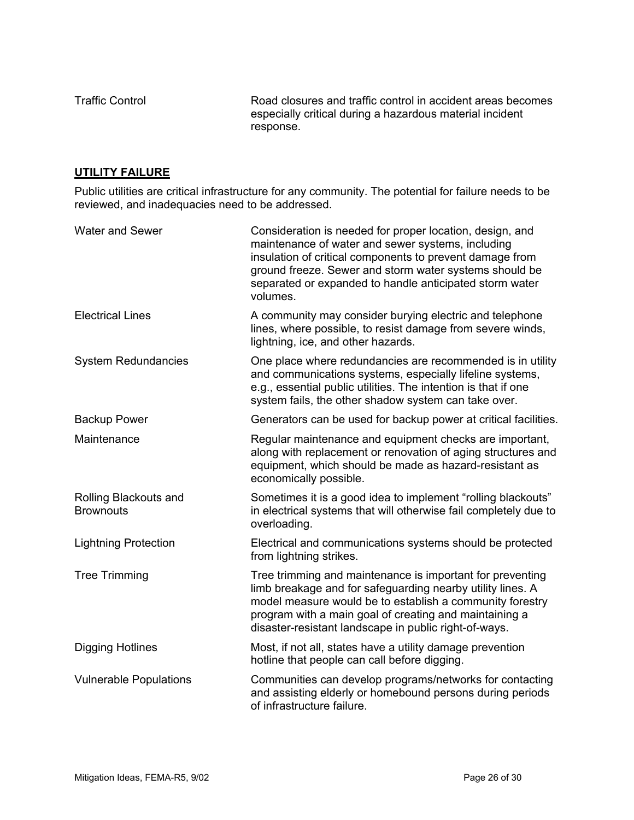Traffic Control **Road closures and traffic control in accident areas becomes** especially critical during a hazardous material incident response.

#### **UTILITY FAILURE**

Public utilities are critical infrastructure for any community. The potential for failure needs to be reviewed, and inadequacies need to be addressed.

| <b>Water and Sewer</b>                    | Consideration is needed for proper location, design, and<br>maintenance of water and sewer systems, including<br>insulation of critical components to prevent damage from<br>ground freeze. Sewer and storm water systems should be<br>separated or expanded to handle anticipated storm water<br>volumes. |
|-------------------------------------------|------------------------------------------------------------------------------------------------------------------------------------------------------------------------------------------------------------------------------------------------------------------------------------------------------------|
| <b>Electrical Lines</b>                   | A community may consider burying electric and telephone<br>lines, where possible, to resist damage from severe winds,<br>lightning, ice, and other hazards.                                                                                                                                                |
| <b>System Redundancies</b>                | One place where redundancies are recommended is in utility<br>and communications systems, especially lifeline systems,<br>e.g., essential public utilities. The intention is that if one<br>system fails, the other shadow system can take over.                                                           |
| <b>Backup Power</b>                       | Generators can be used for backup power at critical facilities.                                                                                                                                                                                                                                            |
| Maintenance                               | Regular maintenance and equipment checks are important,<br>along with replacement or renovation of aging structures and<br>equipment, which should be made as hazard-resistant as<br>economically possible.                                                                                                |
| Rolling Blackouts and<br><b>Brownouts</b> | Sometimes it is a good idea to implement "rolling blackouts"<br>in electrical systems that will otherwise fail completely due to<br>overloading.                                                                                                                                                           |
| <b>Lightning Protection</b>               | Electrical and communications systems should be protected<br>from lightning strikes.                                                                                                                                                                                                                       |
| <b>Tree Trimming</b>                      | Tree trimming and maintenance is important for preventing<br>limb breakage and for safeguarding nearby utility lines. A<br>model measure would be to establish a community forestry<br>program with a main goal of creating and maintaining a<br>disaster-resistant landscape in public right-of-ways.     |
| <b>Digging Hotlines</b>                   | Most, if not all, states have a utility damage prevention<br>hotline that people can call before digging.                                                                                                                                                                                                  |
| <b>Vulnerable Populations</b>             | Communities can develop programs/networks for contacting<br>and assisting elderly or homebound persons during periods<br>of infrastructure failure.                                                                                                                                                        |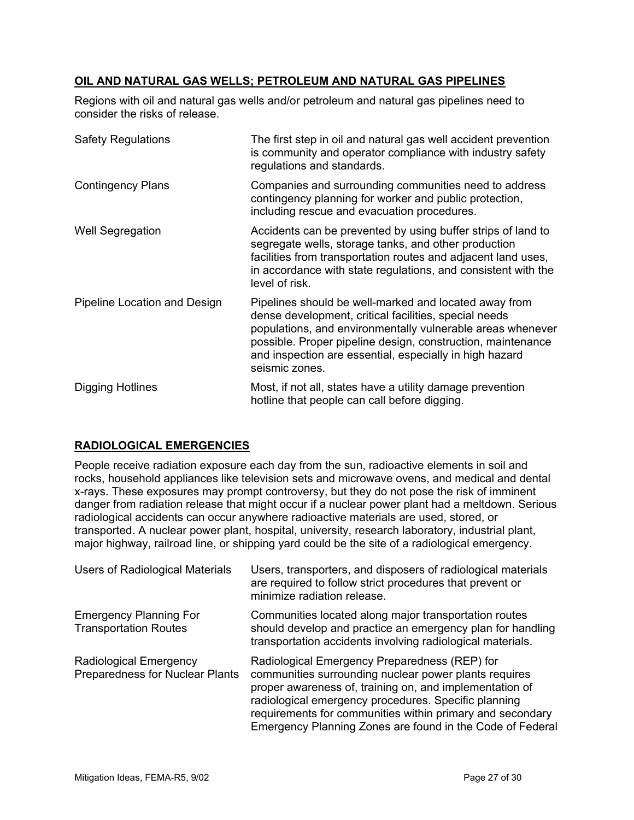# **OIL AND NATURAL GAS WELLS; PETROLEUM AND NATURAL GAS PIPELINES**

Regions with oil and natural gas wells and/or petroleum and natural gas pipelines need to consider the risks of release.

| <b>Safety Regulations</b>    | The first step in oil and natural gas well accident prevention<br>is community and operator compliance with industry safety<br>regulations and standards.                                                                                                                                                                |
|------------------------------|--------------------------------------------------------------------------------------------------------------------------------------------------------------------------------------------------------------------------------------------------------------------------------------------------------------------------|
| <b>Contingency Plans</b>     | Companies and surrounding communities need to address<br>contingency planning for worker and public protection,<br>including rescue and evacuation procedures.                                                                                                                                                           |
| <b>Well Segregation</b>      | Accidents can be prevented by using buffer strips of land to<br>segregate wells, storage tanks, and other production<br>facilities from transportation routes and adjacent land uses,<br>in accordance with state regulations, and consistent with the<br>level of risk.                                                 |
| Pipeline Location and Design | Pipelines should be well-marked and located away from<br>dense development, critical facilities, special needs<br>populations, and environmentally vulnerable areas whenever<br>possible. Proper pipeline design, construction, maintenance<br>and inspection are essential, especially in high hazard<br>seismic zones. |
| Digging Hotlines             | Most, if not all, states have a utility damage prevention<br>hotline that people can call before digging.                                                                                                                                                                                                                |

#### **RADIOLOGICAL EMERGENCIES**

People receive radiation exposure each day from the sun, radioactive elements in soil and rocks, household appliances like television sets and microwave ovens, and medical and dental x-rays. These exposures may prompt controversy, but they do not pose the risk of imminent danger from radiation release that might occur if a nuclear power plant had a meltdown. Serious radiological accidents can occur anywhere radioactive materials are used, stored, or transported. A nuclear power plant, hospital, university, research laboratory, industrial plant, major highway, railroad line, or shipping yard could be the site of a radiological emergency.

| <b>Users of Radiological Materials</b>                        | Users, transporters, and disposers of radiological materials<br>are required to follow strict procedures that prevent or<br>minimize radiation release.                                                                                                                                                                                             |
|---------------------------------------------------------------|-----------------------------------------------------------------------------------------------------------------------------------------------------------------------------------------------------------------------------------------------------------------------------------------------------------------------------------------------------|
| <b>Emergency Planning For</b><br><b>Transportation Routes</b> | Communities located along major transportation routes<br>should develop and practice an emergency plan for handling<br>transportation accidents involving radiological materials.                                                                                                                                                                   |
| Radiological Emergency<br>Preparedness for Nuclear Plants     | Radiological Emergency Preparedness (REP) for<br>communities surrounding nuclear power plants requires<br>proper awareness of, training on, and implementation of<br>radiological emergency procedures. Specific planning<br>requirements for communities within primary and secondary<br>Emergency Planning Zones are found in the Code of Federal |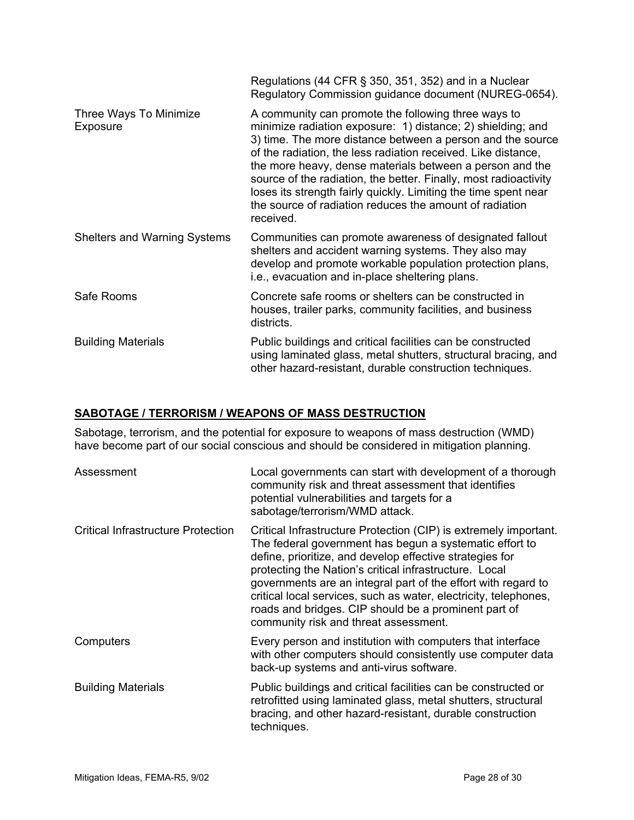|                                     | Regulations (44 CFR $\S$ 350, 351, 352) and in a Nuclear<br>Regulatory Commission guidance document (NUREG-0654).                                                                                                                                                                                                                                                                                                                                                                                                            |
|-------------------------------------|------------------------------------------------------------------------------------------------------------------------------------------------------------------------------------------------------------------------------------------------------------------------------------------------------------------------------------------------------------------------------------------------------------------------------------------------------------------------------------------------------------------------------|
| Three Ways To Minimize<br>Exposure  | A community can promote the following three ways to<br>minimize radiation exposure: 1) distance; 2) shielding; and<br>3) time. The more distance between a person and the source<br>of the radiation, the less radiation received. Like distance,<br>the more heavy, dense materials between a person and the<br>source of the radiation, the better. Finally, most radioactivity<br>loses its strength fairly quickly. Limiting the time spent near<br>the source of radiation reduces the amount of radiation<br>received. |
| <b>Shelters and Warning Systems</b> | Communities can promote awareness of designated fallout<br>shelters and accident warning systems. They also may<br>develop and promote workable population protection plans,<br>i.e., evacuation and in-place sheltering plans.                                                                                                                                                                                                                                                                                              |
| Safe Rooms                          | Concrete safe rooms or shelters can be constructed in<br>houses, trailer parks, community facilities, and business<br>districts.                                                                                                                                                                                                                                                                                                                                                                                             |
| <b>Building Materials</b>           | Public buildings and critical facilities can be constructed<br>using laminated glass, metal shutters, structural bracing, and<br>other hazard-resistant, durable construction techniques.                                                                                                                                                                                                                                                                                                                                    |

# **SABOTAGE / TERRORISM / WEAPONS OF MASS DESTRUCTION**

Sabotage, terrorism, and the potential for exposure to weapons of mass destruction (WMD) have become part of our social conscious and should be considered in mitigation planning.

| Assessment                                | Local governments can start with development of a thorough<br>community risk and threat assessment that identifies<br>potential vulnerabilities and targets for a<br>sabotage/terrorism/WMD attack.                                                                                                                                                                                                                                                                                     |
|-------------------------------------------|-----------------------------------------------------------------------------------------------------------------------------------------------------------------------------------------------------------------------------------------------------------------------------------------------------------------------------------------------------------------------------------------------------------------------------------------------------------------------------------------|
| <b>Critical Infrastructure Protection</b> | Critical Infrastructure Protection (CIP) is extremely important.<br>The federal government has begun a systematic effort to<br>define, prioritize, and develop effective strategies for<br>protecting the Nation's critical infrastructure. Local<br>governments are an integral part of the effort with regard to<br>critical local services, such as water, electricity, telephones,<br>roads and bridges. CIP should be a prominent part of<br>community risk and threat assessment. |
| Computers                                 | Every person and institution with computers that interface<br>with other computers should consistently use computer data<br>back-up systems and anti-virus software.                                                                                                                                                                                                                                                                                                                    |
| <b>Building Materials</b>                 | Public buildings and critical facilities can be constructed or<br>retrofitted using laminated glass, metal shutters, structural<br>bracing, and other hazard-resistant, durable construction<br>techniques.                                                                                                                                                                                                                                                                             |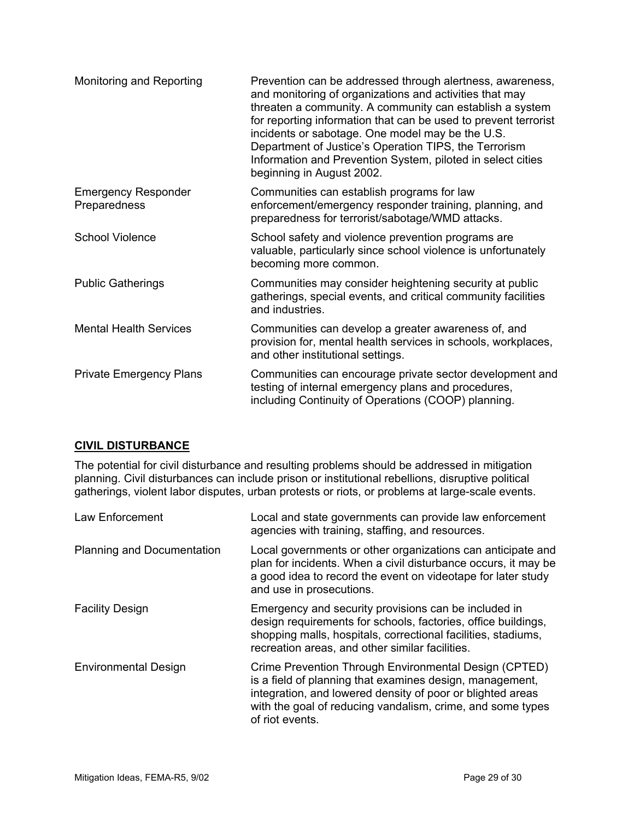| Monitoring and Reporting                   | Prevention can be addressed through alertness, awareness,<br>and monitoring of organizations and activities that may<br>threaten a community. A community can establish a system<br>for reporting information that can be used to prevent terrorist<br>incidents or sabotage. One model may be the U.S.<br>Department of Justice's Operation TIPS, the Terrorism<br>Information and Prevention System, piloted in select cities<br>beginning in August 2002. |
|--------------------------------------------|--------------------------------------------------------------------------------------------------------------------------------------------------------------------------------------------------------------------------------------------------------------------------------------------------------------------------------------------------------------------------------------------------------------------------------------------------------------|
| <b>Emergency Responder</b><br>Preparedness | Communities can establish programs for law<br>enforcement/emergency responder training, planning, and<br>preparedness for terrorist/sabotage/WMD attacks.                                                                                                                                                                                                                                                                                                    |
| <b>School Violence</b>                     | School safety and violence prevention programs are<br>valuable, particularly since school violence is unfortunately<br>becoming more common.                                                                                                                                                                                                                                                                                                                 |
| <b>Public Gatherings</b>                   | Communities may consider heightening security at public<br>gatherings, special events, and critical community facilities<br>and industries.                                                                                                                                                                                                                                                                                                                  |
| <b>Mental Health Services</b>              | Communities can develop a greater awareness of, and<br>provision for, mental health services in schools, workplaces,<br>and other institutional settings.                                                                                                                                                                                                                                                                                                    |
| <b>Private Emergency Plans</b>             | Communities can encourage private sector development and<br>testing of internal emergency plans and procedures,<br>including Continuity of Operations (COOP) planning.                                                                                                                                                                                                                                                                                       |

#### **CIVIL DISTURBANCE**

The potential for civil disturbance and resulting problems should be addressed in mitigation planning. Civil disturbances can include prison or institutional rebellions, disruptive political gatherings, violent labor disputes, urban protests or riots, or problems at large-scale events.

| Law Enforcement             | Local and state governments can provide law enforcement<br>agencies with training, staffing, and resources.                                                                                                                                                      |
|-----------------------------|------------------------------------------------------------------------------------------------------------------------------------------------------------------------------------------------------------------------------------------------------------------|
| Planning and Documentation  | Local governments or other organizations can anticipate and<br>plan for incidents. When a civil disturbance occurs, it may be<br>a good idea to record the event on videotape for later study<br>and use in prosecutions.                                        |
| <b>Facility Design</b>      | Emergency and security provisions can be included in<br>design requirements for schools, factories, office buildings,<br>shopping malls, hospitals, correctional facilities, stadiums,<br>recreation areas, and other similar facilities.                        |
| <b>Environmental Design</b> | Crime Prevention Through Environmental Design (CPTED)<br>is a field of planning that examines design, management,<br>integration, and lowered density of poor or blighted areas<br>with the goal of reducing vandalism, crime, and some types<br>of riot events. |